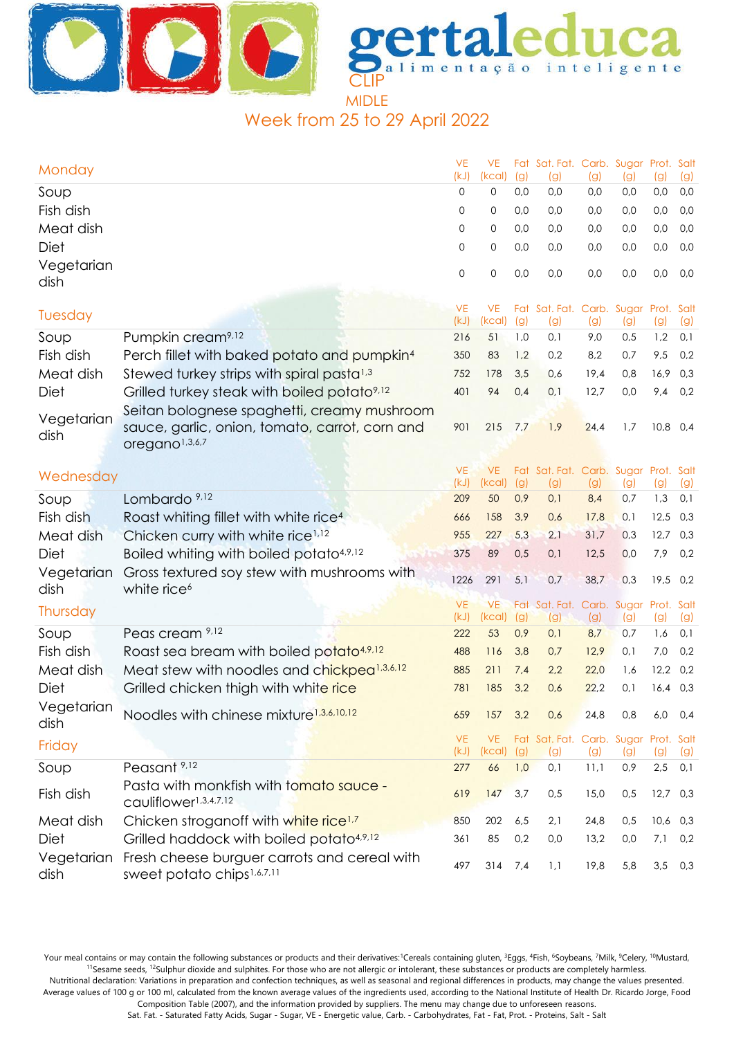

Week from 25 to 29 April 2022

| Monday             |                                                                              | <b>VE</b><br>(kJ) | <b>VE</b><br>(kcal) | (g)        | Fat Sat. Fat. Carb. Sugar Prot. Salt<br>(g) | (g)        | (g)        | (g)        | (g)        |
|--------------------|------------------------------------------------------------------------------|-------------------|---------------------|------------|---------------------------------------------|------------|------------|------------|------------|
| Soup               |                                                                              | 0                 | 0                   | 0,0        | 0,0                                         | 0,0        | 0,0        | 0,0        | 0,0        |
| Fish dish          |                                                                              | 0                 | 0                   | 0,0        | 0,0                                         | 0,0        | 0,0        | 0,0        | 0,0        |
| Meat dish          |                                                                              | 0                 | 0                   | 0,0        | 0,0                                         | 0,0        | 0,0        | 0,0        | 0,0        |
| <b>Diet</b>        |                                                                              | 0                 | 0                   | 0,0        | 0,0                                         | 0,0        | 0,0        | 0,0        | 0,0        |
| Vegetarian         |                                                                              | 0                 | 0                   | 0,0        | 0,0                                         | 0,0        | 0,0        | 0,0        | 0,0        |
| dish               |                                                                              |                   |                     |            |                                             |            |            |            |            |
| Tuesday            |                                                                              | <b>VE</b>         | <b>VE</b>           |            | Fat Sat. Fat. Carb. Sugar Prot. Salt        |            |            |            |            |
|                    |                                                                              | (kJ)              | (kcal)              | (g)        | (g)                                         | (g)        | (g)        | (g)        | (g)        |
| Soup               | Pumpkin cream <sup>9,12</sup>                                                | 216               | 51                  | 1,0        | 0,1                                         | 9,0        | 0,5        | 1,2        | 0,1        |
| Fish dish          | Perch fillet with baked potato and pumpkin <sup>4</sup>                      | 350               | 83                  | 1,2        | 0,2                                         | 8,2        | 0,7        | 9,5        | 0,2        |
| Meat dish          | Stewed turkey strips with spiral pasta <sup>1,3</sup>                        | 752               | 178                 | 3,5        | 0,6                                         | 19,4       | 0,8        | 16,9       | 0,3        |
| Diet               | Grilled turkey steak with boiled potato <sup>9,12</sup>                      | 401               | 94                  | 0,4        | 0,1                                         | 12,7       | 0,0        | 9,4        | 0,2        |
| Vegetarian         | Seitan bolognese spaghetti, creamy mushroom                                  |                   |                     |            |                                             |            |            |            |            |
| dish               | sauce, garlic, onion, tomato, carrot, corn and                               | 901               | 215                 | 7,7        | 1,9                                         | 24,4       | 1,7        | $10,8$ 0,4 |            |
|                    | oregano <sup>1,3,6,7</sup>                                                   |                   |                     |            |                                             |            |            |            |            |
| Wednesday          |                                                                              | <b>VE</b>         | <b>VE</b>           |            | Fat Sat. Fat. Carb. Sugar Prot. Salt        |            |            |            |            |
|                    |                                                                              | (kJ)              | (Kcal)              | (g)        | (g)                                         | (g)        | (g)        | (g)        | (g)        |
| Soup               | Lombardo <sup>9,12</sup>                                                     | 209               | 50                  | 0,9        | 0,1                                         | 8,4        | 0,7        | 1,3        | 0,1        |
| Fish dish          | Roast whiting fillet with white rice <sup>4</sup>                            | 666               | 158                 | 3,9        | 0,6                                         | 17,8       | 0,1        | 12,5       | 0,3        |
| Meat dish          | Chicken curry with white rice <sup>1,12</sup>                                | 955               | 227                 | 5,3        | 2,1                                         | 31,7       | 0,3        | 12,7       | 0,3        |
| Diet               | Boiled whiting with boiled potato <sup>4,9,12</sup>                          | 375               | 89                  | 0,5        | 0,1                                         | 12,5       | 0,0        | 7,9        | 0,2        |
| Vegetarian<br>dish | Gross textured soy stew with mushrooms with<br>white rice <sup>6</sup>       | 1226              | 291                 | 5,1        | 0,7                                         | 38,7       | 0,3        | $19,5$ 0,2 |            |
| Thursday           |                                                                              | <b>VE</b>         | <b>VE</b>           |            | Fat Sat. Fat. Carb. Sugar Prot. Salt        |            |            |            |            |
| Soup               | Peas cream 9,12                                                              | (kJ)<br>222       | (kcal)<br>53        | (g)<br>0,9 | (g)<br>0,1                                  | (g)<br>8,7 | (g)<br>0,7 | (g)<br>1,6 | (g)<br>0,1 |
| Fish dish          | Roast sea bream with boiled potato <sup>4,9,12</sup>                         | 488               | 116                 | 3,8        | 0,7                                         | 12,9       | 0,1        | 7,0        | 0,2        |
| Meat dish          | Meat stew with noodles and chickpea <sup>1,3,6,12</sup>                      | 885               | 211                 | 7,4        | 2,2                                         | 22,0       | 1,6        | 12,2       | 0,2        |
| Diet               | Grilled chicken thigh with white rice                                        | 781               | 185                 | 3,2        | 0,6                                         | 22,2       | 0,1        | $16,4$ 0,3 |            |
| Vegetarian         |                                                                              |                   |                     |            |                                             |            |            |            |            |
| dish               | Noodles with chinese mixture <sup>1,3,6,10,12</sup>                          | 659               | 157                 | 3,2        | 0,6                                         | 24,8       | 0,8        | 6,0        | 0,4        |
| Friday             |                                                                              | <b>VE</b><br>(kJ) | <b>VE</b><br>(kcal) | (g)        | Fat Sat. Fat. Carb. Sugar Prot. Salt<br>(g) | (g)        | (g)        | (g)        |            |
| Soup               | Peasant <sup>9,12</sup>                                                      | 277               | 66                  | 1,0        | 0,1                                         | 11,1       | 0,9        | 2,5        | (g)<br>0,1 |
| Fish dish          | Pasta with monkfish with tomato sauce -<br>cauliflower <sup>1,3,4,7,12</sup> | 619               | 147                 | 3,7        | 0,5                                         | 15,0       | 0,5        | $12,7$ 0,3 |            |
| Meat dish          | Chicken stroganoff with white rice <sup>1,7</sup>                            | 850               | 202                 | 6,5        | 2,1                                         | 24,8       | 0,5        | $10,6$ 0,3 |            |
| Diet               | Grilled haddock with boiled potato <sup>4,9,12</sup>                         | 361               | 85                  | 0,2        | 0,0                                         | 13,2       | 0,0        | 7,1        | 0,2        |
| Vegetarian         | Fresh cheese burguer carrots and cereal with                                 | 497               | $314$ 7,4           |            | 1,1                                         | 19,8       | 5,8        | 3,5        | 0,3        |
| dish               | sweet potato chips <sup>1,6,7,11</sup>                                       |                   |                     |            |                                             |            |            |            |            |

Your meal contains or may contain the following substances or products and their derivatives:<sup>1</sup>Cereals containing gluten, <sup>3</sup>Eggs, <sup>4</sup>Fish, <sup>6</sup>Soybeans, <sup>7</sup>Milk, <sup>9</sup>Celery, <sup>10</sup>Mustard, <sup>11</sup>Sesame seeds, <sup>12</sup>Sulphur dioxide and sulphites. For those who are not allergic or intolerant, these substances or products are completely harmless.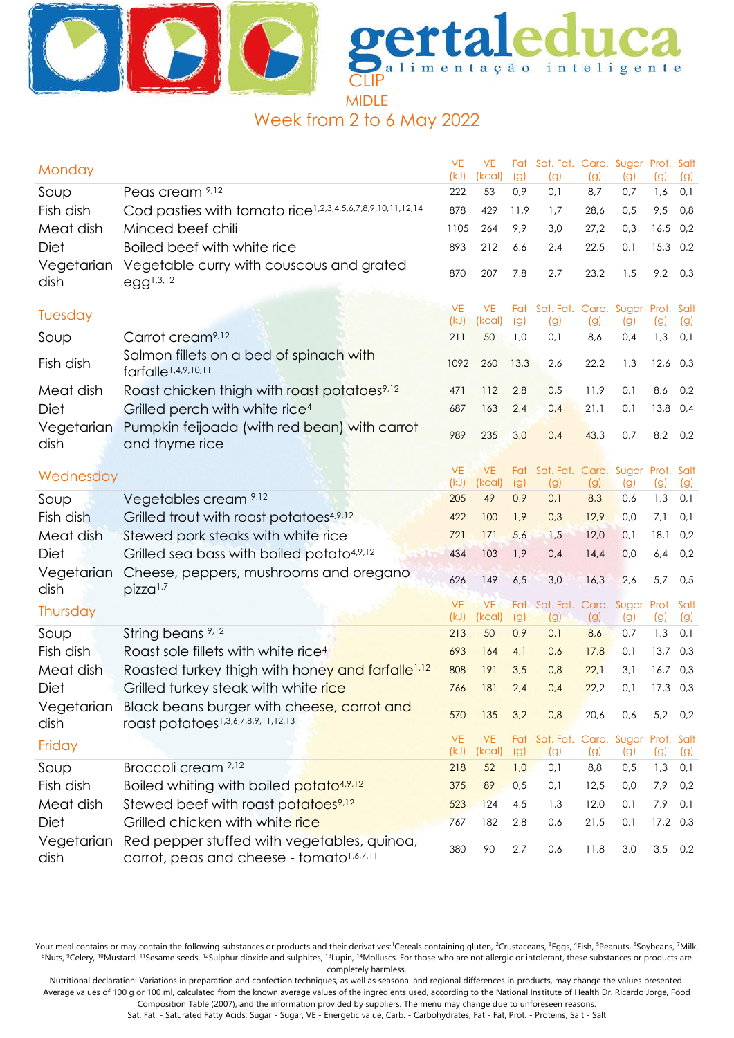



# Week from 2 to 6 May 2022

| Monday             |                                                                                                         | <b>VE</b><br>(kJ) | VE<br>(kcal)        | (g)        | Fat Sat. Fat. Carb. Sugar Prot. Salt<br>(g) | (g)        | (g)        | (g)        | (g)        |
|--------------------|---------------------------------------------------------------------------------------------------------|-------------------|---------------------|------------|---------------------------------------------|------------|------------|------------|------------|
| Soup               | Peas cream 9,12                                                                                         | 222               | 53                  | 0,9        | 0,1                                         | 8,7        | 0,7        | 1,6        | 0,1        |
| Fish dish          | Cod pasties with tomato rice <sup>1,2,3,4,5,6,7,8,9,10,11,12,14</sup>                                   | 878               | 429                 | 11,9       | 1,7                                         | 28,6       | 0,5        | 9,5        | 0,8        |
| Meat dish          | Minced beef chili                                                                                       | 1105              | 264                 | 9,9        | 3,0                                         | 27,2       | 0,3        | 16,5       | 0,2        |
| Diet               | Boiled beef with white rice                                                                             | 893               | 212                 | 6,6        | 2,4                                         | 22,5       | 0,1        | 15,3       | 0,2        |
| Vegetarian<br>dish | Vegetable curry with couscous and grated<br>$egg^{1,3,12}$                                              | 870               | 207                 | 7,8        | 2,7                                         | 23,2       | 1,5        | 9,2        | 0,3        |
| Tuesday            |                                                                                                         | <b>VE</b><br>(kJ) | VE.<br>(kcal)       | (g)        | Fat Sat. Fat. Carb. Sugar Prot. Salt<br>(g) | (g)        | (g)        | (g)        | (g)        |
| Soup               | Carrot cream <sup>9,12</sup>                                                                            | 211               | 50                  | 1,0        | 0,1                                         | 8,6        | 0,4        | 1,3        | 0,1        |
| Fish dish          | Salmon fillets on a bed of spinach with<br>farfalle <sup>1,4,9,10,11</sup>                              | 1092              | 260                 | 13,3       | 2,6                                         | 22,2       | 1,3        | 12,6       | 0,3        |
| Meat dish          | Roast chicken thigh with roast potatoes <sup>9,12</sup>                                                 | 471               | 112                 | 2,8        | 0,5                                         | 11,9       | 0,1        | 8,6        | 0,2        |
| Diet               | Grilled perch with white rice <sup>4</sup>                                                              | 687               | 163                 | 2,4        | 0,4                                         | 21,1       | 0,1        | 13,8       | 0,4        |
| Vegetarian<br>dish | Pumpkin feijoada (with red bean) with carrot<br>and thyme rice                                          | 989               | 235                 | 3,0        | 0,4                                         | 43,3       | 0,7        | 8,2        | 0,2        |
|                    |                                                                                                         | <b>VE</b>         | VE.                 |            | Fat Sat. Fat. Carb. Sugar Prot. Salt        |            |            |            |            |
| Wednesday          |                                                                                                         | (kJ)              | (kcal)              | (g)        | (g)                                         | (g)        | (g)        | (g)        | (g)        |
| Soup               | Vegetables cream <sup>9,12</sup>                                                                        | 205               | 49                  | 0,9        | 0,1                                         | 8,3        | 0,6        | 1,3        | 0,1        |
| Fish dish          | Grilled trout with roast potatoes <sup>4,9,12</sup>                                                     | 422               | 100                 | 1,9        | 0,3                                         | 12,9       | 0,0        | 7,1        | 0,1        |
| Meat dish          | Stewed pork steaks with white rice                                                                      | 721               | 171                 | 5,6        | 1,5                                         | 12,0       | 0,1        | 18,1       | 0,2        |
| Diet               | Grilled sea bass with boiled potato <sup>4,9,12</sup>                                                   | 434               | 103                 | 1,9        | 0,4                                         | 14,4       | 0,0        | 6,4        | 0,2        |
| Vegetarian<br>dish | Cheese, peppers, mushrooms and oregano<br>pizza <sup>1,7</sup>                                          | 626               | 149                 | 6,5        | 3,0                                         | 16,3       | 2,6        | 5,7        | 0,5        |
| Thursday           |                                                                                                         | <b>VE</b><br>(kJ) | <b>VE</b><br>(kcal) |            | Fat Sat. Fat. Carb. Sugar Prot. Salt        |            |            |            |            |
| Soup               | String beans 9,12                                                                                       | 213               | 50                  | (g)<br>0,9 | (g)<br>0,1                                  | (g)<br>8,6 | (g)<br>0,7 | (g)<br>1,3 | (g)<br>0,1 |
| Fish dish          | Roast sole fillets with white rice <sup>4</sup>                                                         | 693               | 164                 | 4,1        | 0,6                                         | 17,8       | 0,1        | 13,7       | 0,3        |
| Meat dish          | Roasted turkey thigh with honey and farfalle <sup>1,12</sup>                                            | 808               | 191                 | 3,5        | 0,8                                         | 22,1       | 3,1        | 16,7       | 0,3        |
| Diet               | Grilled turkey steak with white rice                                                                    | 766               | 181                 | 2,4        | 0,4                                         | 22,2       | 0,1        | $17,3$ 0,3 |            |
| dish               | Vegetarian Black beans burger with cheese, carrot and<br>roast potatoes <sup>1,3,6,7,8,9,11,12,13</sup> | 570               | 135                 | 3,2        | 0,8                                         | 20,6       | 0,6        | 5,2        | 0,2        |
| Friday             |                                                                                                         | <b>VE</b>         | <b>VE</b>           |            | Fat Sat. Fat. Carb. Sugar Prot. Salt        |            |            |            |            |
|                    |                                                                                                         | (kJ)              | (kcal)              | (g)        | (g)                                         | (g)        | (g)        | (g)        | (g)        |
| Soup               | Broccoli cream 9,12                                                                                     | 218               | 52                  | 1,0        | 0,1                                         | 8,8        | 0,5        | 1,3        | 0,1        |
| Fish dish          | Boiled whiting with boiled potato <sup>4,9,12</sup>                                                     | 375               | 89                  | 0,5        | 0,1                                         | 12,5       | 0,0        | 7,9        | 0,2        |
| Meat dish          | Stewed beef with roast potatoes <sup>9,12</sup>                                                         | 523               | 124                 | 4,5        | 1,3                                         | 12,0       | 0,1        | 7,9        | 0,1        |
| Diet               | Grilled chicken with white rice                                                                         | 767               | 182                 | 2,8        | 0,6                                         | 21,5       | 0,1        | $17,2$ 0,3 |            |
| Vegetarian<br>dish | Red pepper stuffed with vegetables, quinoa,<br>carrot, peas and cheese - tomato <sup>1,6,7,11</sup>     | 380               | 90                  | 2,7        | 0,6                                         | 11,8       | 3,0        | 3,5        | 0,2        |

Your meal contains or may contain the following substances or products and their derivatives:<sup>1</sup>Cereals containing gluten, <sup>2</sup>Crustaceans, <sup>3</sup>Eggs, <sup>4</sup>Fish, <sup>5</sup>Peanuts, <sup>6</sup>Soybeans, <sup>7</sup>Milk, 8Nuts, <sup>9</sup>Celery, <sup>10</sup>Mustard, <sup>11</sup>Sesame seeds, <sup>12</sup>Sulphur dioxide and sulphites, <sup>13</sup>Lupin, <sup>14</sup>Molluscs. For those who are not allergic or intolerant, these substances or products are completely harmless.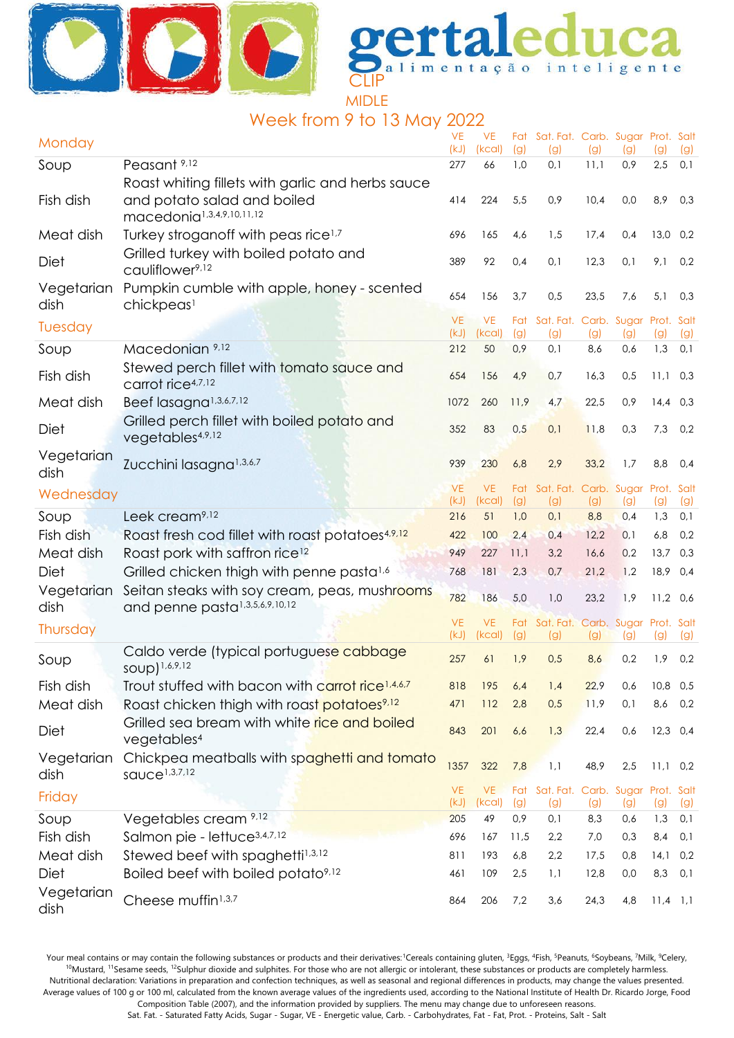



## Week from 9 to 13 May 2022

| Monday             |                                                                                                                           | <b>VE</b><br>(kJ) | VE<br>(kcal)        | (g)        | Fat Sat. Fat. Carb. Sugar Prot. Salt<br>(g) | (g)  | (g) | (g)        | (g) |
|--------------------|---------------------------------------------------------------------------------------------------------------------------|-------------------|---------------------|------------|---------------------------------------------|------|-----|------------|-----|
| Soup               | Peasant <sup>9,12</sup>                                                                                                   | 277               | 66                  | 1,0        | 0,1                                         | 11,1 | 0,9 | 2,5        | 0,1 |
| Fish dish          | Roast whiting fillets with garlic and herbs sauce<br>and potato salad and boiled<br>macedonia <sup>1,3,4,9,10,11,12</sup> | 414               | 224                 | 5,5        | 0,9                                         | 10,4 | 0,0 | 8,9        | 0,3 |
| Meat dish          | Turkey stroganoff with peas rice <sup>1,7</sup>                                                                           | 696               | 165                 | 4,6        | 1,5                                         | 17,4 | 0,4 | 13,0 0,2   |     |
| Diet               | Grilled turkey with boiled potato and<br>cauliflower <sup>9,12</sup>                                                      | 389               | 92                  | 0,4        | 0,1                                         | 12,3 | 0,1 | 9,1        | 0,2 |
| Vegetarian<br>dish | Pumpkin cumble with apple, honey - scented<br>chickpeas <sup>1</sup>                                                      | 654               | 156                 | 3,7        | 0,5                                         | 23,5 | 7,6 | 5,1        | 0,3 |
| Tuesday            |                                                                                                                           | <b>VE</b><br>(kJ) | <b>VE</b><br>(kcal) | Fat<br>(g) | Sat. Fat. Carb. Sugar Prot. Salt<br>(g)     | (g)  | (g) | (g)        | (g) |
| Soup               | Macedonian 9,12                                                                                                           | 212               | 50                  | 0,9        | 0,1                                         | 8,6  | 0,6 | 1,3        | 0,1 |
| Fish dish          | Stewed perch fillet with tomato sauce and<br>carrot rice4,7,12                                                            | 654               | 156                 | 4,9        | 0,7                                         | 16,3 | 0,5 | $11,1$ 0,3 |     |
| Meat dish          | Beef lasagna <sup>1,3,6,7,12</sup>                                                                                        | 1072              | 260                 | 11,9       | 4,7                                         | 22,5 | 0,9 | $14,4$ 0,3 |     |
| Diet               | Grilled perch fillet with boiled potato and<br>vegetables4,9,12                                                           | 352               | 83                  | 0,5        | 0,1                                         | 11,8 | 0,3 | 7,3        | 0,2 |
| Vegetarian<br>dish | Zucchini lasagna <sup>1,3,6,7</sup>                                                                                       | 939               | 230                 | 6,8        | 2,9                                         | 33,2 | 1,7 | 8,8        | 0,4 |
| Wednesday          |                                                                                                                           | <b>VE</b><br>(kJ) | VE.<br>(kcal)       | Fat<br>(g) | Sat. Fat. Carb. Sugar Prot. Salt<br>(g)     | (g)  | (g) | (g)        | (g) |
| Soup               | Leek cream <sup>9,12</sup>                                                                                                | 216               | 51                  | 1,0        | 0,1                                         | 8,8  | 0,4 | 1,3        | 0,1 |
| Fish dish          | Roast fresh cod fillet with roast potatoes <sup>4,9,12</sup>                                                              | 422               | 100                 | 2,4        | 0,4                                         | 12,2 | 0,1 | 6,8        | 0,2 |
| Meat dish          | Roast pork with saffron rice <sup>12</sup>                                                                                | 949               | 227                 | 11,1       | 3,2                                         | 16,6 | 0,2 | 13,7       | 0,3 |
| Diet               | Grilled chicken thigh with penne pasta <sup>1,6</sup>                                                                     | 768               | 181                 | 2,3        | 0,7                                         | 21,2 | 1,2 | 18,9       | 0,4 |
| Vegetarian<br>dish | Seitan steaks with soy cream, peas, mushrooms<br>and penne pasta <sup>1,3,5,6,9,10,12</sup>                               | 782               | 186                 | 5,0        | 1,0                                         | 23,2 | 1,9 | $11,2$ 0,6 |     |
| Thursday           |                                                                                                                           | <b>VE</b><br>(kJ) | VE.<br>(kcal)       | (g)        | Fat Sat. Fat. Carb. Sugar Prot. Salt<br>(g) | (g)  | (g) | (g)        | (g) |
| Soup               | Caldo verde (typical portuguese cabbage<br>soup) 1,6,9,12                                                                 | 257               | 61                  | 1,9        | 0,5                                         | 8,6  | 0,2 | 1,9        | 0,2 |
| Fish dish          | Trout stuffed with bacon with carrot rice <sup>1,4,6,7</sup>                                                              | 818               | 195                 | 6,4        | 1,4                                         | 22,9 | 0,6 | $10,8$ 0,5 |     |
| Meat dish          | Roast chicken thigh with roast potatoes <sup>9,12</sup>                                                                   | 471               | 112                 | 2,8        | 0,5                                         | 11,9 | 0,1 | 8,6        | 0,2 |
| Diet               | Grilled sea bream with white rice and boiled<br>vegetables <sup>4</sup>                                                   | 843               | 201                 | 6,6        | 1,3                                         | 22,4 | 0,6 | $12,3$ 0,4 |     |
| Vegetarian<br>dish | Chickpea meatballs with spaghetti and tomato<br>squce <sup>1,3,7,12</sup>                                                 | 1357              | 322                 | 7,8        | 1,1                                         | 48,9 | 2,5 | $11,1$ 0,2 |     |
| Friday             |                                                                                                                           | <b>VE</b><br>(kJ) | VE.<br>(kcal)       | Fat<br>(g) | Sat. Fat. Carb. Sugar Prot. Salt<br>(g)     | (g)  | (g) | (g)        | (g) |
| Soup               | Vegetables cream 9,12                                                                                                     | 205               | 49                  | 0,9        | 0,1                                         | 8,3  | 0,6 | 1,3        | 0,1 |
| Fish dish          | Salmon pie - lettuce <sup>3,4,7,12</sup>                                                                                  | 696               | 167                 | 11,5       | 2,2                                         | 7,0  | 0,3 | 8,4        | 0,1 |
| Meat dish          | Stewed beef with spaghetti <sup>1,3,12</sup>                                                                              | 811               | 193                 | 6,8        | 2,2                                         | 17,5 | 0,8 | 14,1       | 0,2 |
| Diet               | Boiled beef with boiled potato <sup>9,12</sup>                                                                            | 461               | 109                 | 2,5        | 1,1                                         | 12,8 | 0,0 | 8,3        | 0,1 |
| Vegetarian<br>dish | Cheese muffin <sup>1,3,7</sup>                                                                                            | 864               | 206                 | 7,2        | 3,6                                         | 24,3 | 4,8 | $11,4$ 1,1 |     |

Your meal contains or may contain the following substances or products and their derivatives:<sup>1</sup>Cereals containing gluten, <sup>3</sup>Eggs, <sup>4</sup>Fish, <sup>5</sup>Peanuts, <sup>6</sup>Soybeans, 7Milk, <sup>9</sup>Celery, <sup>10</sup>Mustard, <sup>11</sup>Sesame seeds, <sup>12</sup>Sulphur dioxide and sulphites. For those who are not allergic or intolerant, these substances or products are completely harmless. Nutritional declaration: Variations in preparation and confection techniques, as well as seasonal and regional differences in products, may change the values presented. Average values of 100 g or 100 ml, calculated from the known average values of the ingredients used, according to the National Institute of Health Dr. Ricardo Jorge, Food Composition Table (2007), and the information provided by suppliers. The menu may change due to unforeseen reasons.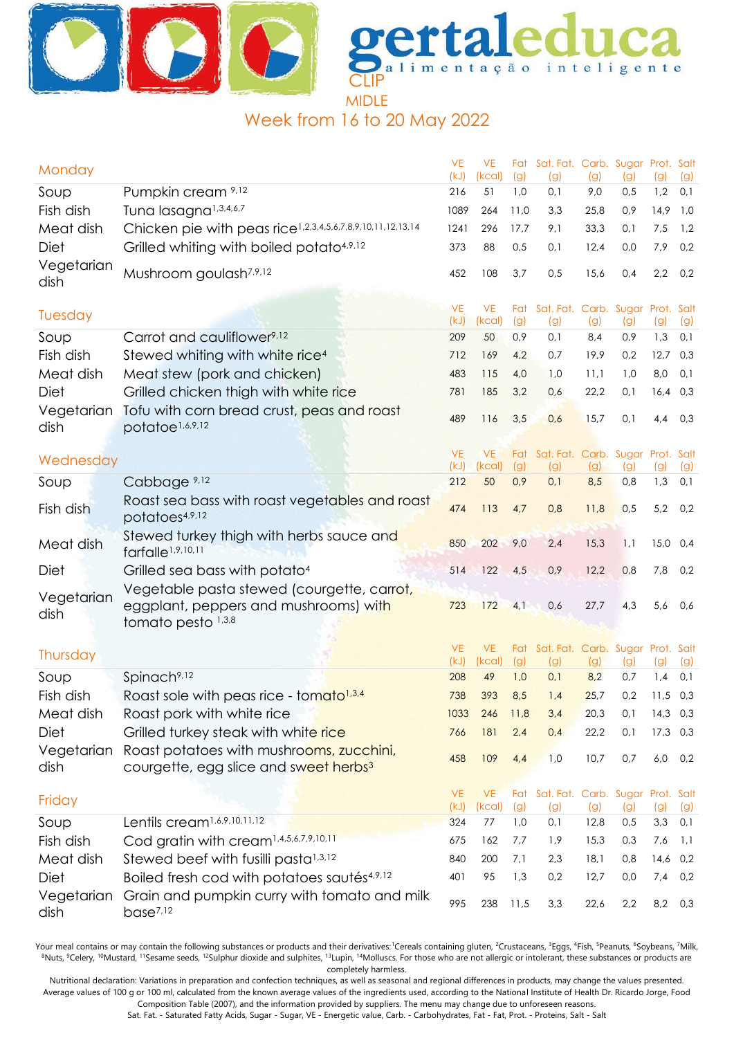



Week from 16 to 20 May 2022

| Monday             |                                                                                                           | <b>VE</b><br>(kJ) | <b>VE</b><br>(kcal) | (g)  | Fat Sat. Fat. Carb. Sugar Prot. Salt<br>(g) | (g)  | (g) | (g)               | (g) |
|--------------------|-----------------------------------------------------------------------------------------------------------|-------------------|---------------------|------|---------------------------------------------|------|-----|-------------------|-----|
| Soup               | Pumpkin cream 9,12                                                                                        | 216               | 51                  | 1,0  | 0,1                                         | 9,0  | 0,5 | 1,2               | 0,1 |
| Fish dish          | Tuna lasagna <sup>1,3,4,6,7</sup>                                                                         | 1089              | 264                 | 11,0 | 3,3                                         | 25,8 | 0,9 | 14,9              | 1,0 |
| Meat dish          | Chicken pie with peas rice <sup>1,2,3,4,5,6,7,8,9,10,11,12,13,14</sup>                                    | 1241              | 296                 | 17,7 | 9,1                                         | 33,3 | 0,1 | 7,5               | 1,2 |
| Diet               | Grilled whiting with boiled potato <sup>4,9,12</sup>                                                      | 373               | 88                  | 0,5  | 0,1                                         | 12,4 | 0,0 | 7,9               | 0,2 |
| Vegetarian<br>dish | Mushroom goulash <sup>7,9,12</sup>                                                                        | 452               | 108                 | 3,7  | 0,5                                         | 15,6 | 0,4 | 2,2               | 0,2 |
| Tuesday            |                                                                                                           | <b>VE</b><br>(kJ) | <b>VE</b><br>(kcal) | (g)  | Fat Sat. Fat. Carb. Sugar Prot. Salt<br>(g) | (g)  | (g) | (g)               | (g) |
| Soup               | Carrot and cauliflower <sup>9,12</sup>                                                                    | 209               | 50                  | 0,9  | 0,1                                         | 8,4  | 0,9 | 1,3               | 0,1 |
| Fish dish          | Stewed whiting with white rice <sup>4</sup>                                                               | 712               | 169                 | 4,2  | 0,7                                         | 19,9 | 0,2 | 12,7              | 0,3 |
| Meat dish          | Meat stew (pork and chicken)                                                                              | 483               | 115                 | 4,0  | 1,0                                         | 11,1 | 1,0 | 8,0               | 0,1 |
| Diet               | Grilled chicken thigh with white rice                                                                     | 781               | 185                 | 3,2  | 0,6                                         | 22,2 | 0,1 | 16,4              | 0,3 |
| Vegetarian<br>dish | Tofu with corn bread crust, peas and roast<br>potatoe <sup>1,6,9,12</sup>                                 | 489               | 116                 | 3,5  | 0,6                                         | 15,7 | 0,1 | 4,4               | 0,3 |
|                    |                                                                                                           | <b>VE</b>         | <b>VE</b>           | Fat  | Sat. Fat. Carb. Sugar Prot. Salt            |      |     |                   |     |
| Wednesday          |                                                                                                           | (kJ)              | (kcal)              | (g)  | (g)                                         | (g)  | (g) | (g)               | (g) |
| Soup               | Cabbage <sup>9,12</sup>                                                                                   | 212               | 50                  | 0,9  | 0,1                                         | 8,5  | 0,8 | 1,3               | 0,1 |
| Fish dish          | Roast sea bass with roast vegetables and roast<br>potatoes4,9,12                                          | 474               | 113                 | 4,7  | 0,8                                         | 11,8 | 0,5 | 5,2               | 0,2 |
| Meat dish          | Stewed turkey thigh with herbs sauce and<br>farfalle <sup>1,9,10,11</sup>                                 | 850               | 202                 | 9,0  | 2,4                                         | 15,3 | 1,1 | 15,0              | 0,4 |
| Diet               | Grilled sea bass with potato <sup>4</sup>                                                                 | 514               | 122                 | 4,5  | 0,9                                         | 12,2 | 0,8 | 7,8               | 0,2 |
| Vegetarian<br>dish | Vegetable pasta stewed (courgette, carrot,<br>eggplant, peppers and mushrooms) with<br>tomato pesto 1,3,8 | 723               | 172                 | 4,1  | 0,6                                         | 27,7 | 4,3 | 5,6               | 0,6 |
|                    |                                                                                                           |                   |                     |      |                                             |      |     |                   |     |
| Thursday           |                                                                                                           | <b>VE</b><br>(kJ) | <b>VE</b><br>(kcal) | (g)  | Fat Sat. Fat. Carb. Sugar Prot. Salt<br>(g) | (g)  | (g) | $\left( 9\right)$ | (g) |
| Soup               | Spinach <sup>9,12</sup>                                                                                   | 208               | 49                  | 1,0  | 0,1                                         | 8,2  | 0,7 | 1,4               | 0,1 |
| Fish dish          | Roast sole with peas rice - tomato <sup>1,3,4</sup>                                                       | 738               | 393                 | 8,5  | 1,4                                         | 25,7 | 0,2 | 11,5              | 0,3 |
| Meat dish          | Roast pork with white rice                                                                                | 1033              | 246                 | 11,8 | 3,4                                         | 20,3 | 0,1 | $14,3$ 0,3        |     |
| Diet               | Grilled turkey steak with white rice                                                                      | 766               | 181                 | 2,4  | 0,4                                         | 22,2 | 0,1 | $17,3$ 0,3        |     |
| Vegetarian<br>dish | Roast potatoes with mushrooms, zucchini,<br>courgette, egg slice and sweet herbs <sup>3</sup>             | 458               | 109                 | 4,4  | 1,0                                         | 10,7 | 0,7 | 6,0               | 0,2 |
| Friday             |                                                                                                           | <b>VE</b><br>(kJ) | <b>VE</b><br>(kcal) | (g)  | Fat Sat. Fat. Carb. Sugar Prot. Salt<br>(g) | (g)  | (g) | $\left( 9\right)$ | (g) |
| Soup               | Lentils cream <sup>1,6,9,10,11,12</sup>                                                                   | 324               | 77                  | 1,0  | 0,1                                         | 12,8 | 0,5 | 3,3               | 0,1 |
| Fish dish          | Cod gratin with cream <sup>1,4,5,6,7,9,10,11</sup>                                                        | 675               | 162                 | 7,7  | 1,9                                         | 15,3 | 0,3 | 7,6               | 1,1 |
| Meat dish          | Stewed beef with fusilli pasta <sup>1,3,12</sup>                                                          | 840               | 200                 | 7,1  | 2,3                                         | 18,1 | 0,8 | $14,6$ 0,2        |     |
| Diet               | Boiled fresh cod with potatoes sautés <sup>4,9,12</sup>                                                   | 401               | 95                  | 1,3  | 0,2                                         | 12,7 | 0,0 | 7,4               | 0,2 |
| Vegetarian<br>dish | Grain and pumpkin curry with tomato and milk<br>base <sup>7,12</sup>                                      | 995               | 238                 | 11,5 | 3,3                                         | 22,6 | 2,2 | 8,2               | 0,3 |

Your meal contains or may contain the following substances or products and their derivatives:<sup>1</sup>Cereals containing gluten, <sup>2</sup>Crustaceans, <sup>3</sup>Eggs, <sup>4</sup>Fish, <sup>5</sup>Peanuts, <sup>6</sup>Soybeans, <sup>7</sup>Milk, <sup>8</sup>Nuts, <sup>9</sup>Celery, <sup>10</sup>Mustard, <sup>11</sup>Sesame seeds, <sup>12</sup>Sulphur dioxide and sulphites, <sup>13</sup>Lupin, <sup>14</sup>Molluscs. For those who are not allergic or intolerant, these substances or products are completely harmless.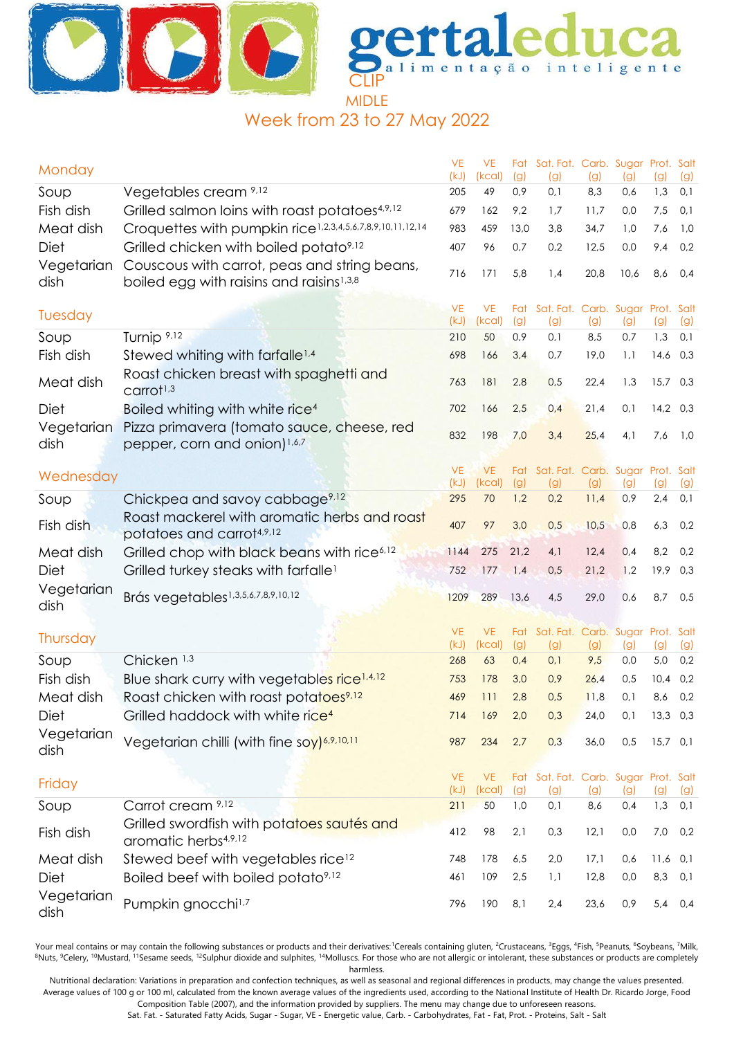



Week from 23 to 27 May 2022

| Monday             |                                                                                                      | <b>VE</b><br>(kJ) | <b>VE</b><br>(kcal) | (g)        | Fat Sat. Fat. Carb. Sugar Prot. Salt<br>(g) | (g)  | (g)  | (g)               | (g) |
|--------------------|------------------------------------------------------------------------------------------------------|-------------------|---------------------|------------|---------------------------------------------|------|------|-------------------|-----|
| Soup               | Vegetables cream 9,12                                                                                | 205               | 49                  | 0,9        | 0,1                                         | 8,3  | 0,6  | 1,3               | 0,1 |
| Fish dish          | Grilled salmon loins with roast potatoes <sup>4,9,12</sup>                                           | 679               | 162                 | 9,2        | 1,7                                         | 11,7 | 0,0  | 7,5               | 0,1 |
| Meat dish          | Croquettes with pumpkin rice <sup>1,2,3,4,5,6,7,8,9,10,11,12,14</sup>                                | 983               | 459                 | 13,0       | 3,8                                         | 34,7 | 1,0  | 7,6               | 1,0 |
| Diet               | Grilled chicken with boiled potato <sup>9,12</sup>                                                   | 407               | 96                  | 0,7        | 0,2                                         | 12,5 | 0,0  | 9,4               | 0,2 |
| Vegetarian<br>dish | Couscous with carrot, peas and string beans,<br>boiled egg with raisins and raisins <sup>1,3,8</sup> | 716               | 171                 | 5,8        | 1,4                                         | 20,8 | 10,6 | 8,6               | 0,4 |
| Tuesday            |                                                                                                      | <b>VE</b><br>(kJ) | <b>VE</b><br>(kcal) | (g)        | Fat Sat. Fat. Carb. Sugar Prot. Salt<br>(g) | (g)  | (g)  | (g)               | (g) |
| Soup               | Turnip <sup>9,12</sup>                                                                               | 210               | 50                  | 0,9        | 0,1                                         | 8,5  | 0,7  | 1,3               | 0,1 |
| Fish dish          | Stewed whiting with farfalle <sup>1,4</sup>                                                          | 698               | 166                 | 3,4        | 0,7                                         | 19,0 | 1,1  | $14,6$ 0,3        |     |
| Meat dish          | Roast chicken breast with spaghetti and<br>$C$ arrot <sup>1,3</sup>                                  | 763               | 181                 | 2,8        | 0,5                                         | 22,4 | 1,3  | 15,7 0,3          |     |
| Diet               | Boiled whiting with white rice <sup>4</sup>                                                          | 702               | 166                 | 2,5        | 0,4                                         | 21,4 | 0,1  | $14,2$ 0,3        |     |
| Vegetarian<br>dish | Pizza primavera (tomato sauce, cheese, red<br>pepper, corn and onion) <sup>1,6,7</sup>               | 832               | 198                 | 7,0        | 3,4                                         | 25,4 | 4,1  | 7,6               | 1,0 |
|                    |                                                                                                      | <b>VE</b>         | <b>VE</b>           | Fat        | Sat. Fat. Carb. Sugar                       |      |      | Prot. Salt        |     |
| Wednesday          |                                                                                                      | (kJ)              | (kcal)              | (g)        | (g)                                         | (g)  | (g)  | (g)               | (g) |
| Soup               | Chickpea and savoy cabbage <sup>9,12</sup>                                                           | 295               | 70                  | 1,2        | 0,2                                         | 11,4 | 0,9  | 2,4               | 0,1 |
| Fish dish          | Roast mackerel with aromatic herbs and roast<br>potatoes and carrot4,9,12                            | 407               | 97                  | 3,0        | 0,5                                         | 10,5 | 0,8  | 6,3               | 0,2 |
| Meat dish          | Grilled chop with black beans with rice <sup>6,12</sup>                                              | 1144              | 275                 | 21,2       | 4,1                                         | 12,4 | 0,4  | 8,2               | 0,2 |
| Diet               | Grilled turkey steaks with farfalle <sup>1</sup>                                                     | 752               | 177                 | 1,4        | 0,5                                         | 21,2 | 1,2  | 19,9              | 0,3 |
| Vegetarian<br>dish | Brás vegetables <sup>1,3,5,6,7,8,9,10,12</sup>                                                       | 1209              | 289                 | 13,6       | 4,5                                         | 29,0 | 0,6  | 8,7               | 0,5 |
|                    |                                                                                                      | <b>VE</b>         |                     |            |                                             |      |      |                   |     |
| Thursday           |                                                                                                      | (kJ)              | <b>VE</b><br>(kcal) | Fat<br>(g) | Sat. Fat. Carb. Sugar Prot. Salt<br>(g)     | (g)  | (g)  | $\left( 9\right)$ | (g) |
| Soup               | Chicken <sup>1,3</sup>                                                                               | 268               | 63                  | 0,4        | 0,1                                         | 9,5  | 0,0  | 5,0               | 0,2 |
| Fish dish          | Blue shark curry with vegetables rice <sup>1,4,12</sup>                                              | 753               | 178                 | 3,0        | 0,9                                         | 26,4 | 0,5  | 10,4              | 0,2 |
| Meat dish          | Roast chicken with roast potatoes <sup>9,12</sup>                                                    | 469               | 111                 | 2,8        | 0,5                                         | 11,8 | 0,1  | 8,6               | 0,2 |
| Diet               | Grilled haddock with white rice <sup>4</sup>                                                         | 714               | 169                 | 2,0        | 0,3                                         | 24,0 | 0,1  | $13,3$ 0,3        |     |
| Vegetarian<br>dish | Vegetarian chilli (with fine soy) <sup>6,9,10,11</sup>                                               | 987               | 234                 | 2,7        | 0,3                                         | 36,0 | 0,5  | $15,7$ 0,1        |     |
| Friday             |                                                                                                      | <b>VE</b><br>(kJ) | VE.<br>(kcal)       | (g)        | Fat Sat. Fat. Carb. Sugar Prot. Salt<br>(g) | (g)  | (g)  | (g)               | (g) |
| Soup               | Carrot cream 9,12                                                                                    | 211               | 50                  | 1,0        | 0,1                                         | 8,6  | 0,4  | 1,3               | 0,1 |
| Fish dish          | Grilled swordfish with potatoes sautés and<br>aromatic herbs <sup>4,9,12</sup>                       | 412               | 98                  | 2,1        | 0,3                                         | 12,1 | 0,0  | 7,0               | 0,2 |
| Meat dish          | Stewed beef with vegetables rice <sup>12</sup>                                                       | 748               | 178                 | 6,5        | 2,0                                         | 17,1 | 0,6  | $11,6$ 0,1        |     |
| Diet               | Boiled beef with boiled potato <sup>9,12</sup>                                                       | 461               | 109                 | 2,5        | 1,1                                         | 12,8 | 0,0  | 8,3               | 0,1 |
| Vegetarian<br>dish | Pumpkin gnocchi <sup>1,7</sup>                                                                       | 796               | 190                 | 8,1        | 2,4                                         | 23,6 | 0,9  | 5,4               | 0,4 |

Your meal contains or may contain the following substances or products and their derivatives:<sup>1</sup>Cereals containing gluten, <sup>2</sup>Crustaceans, <sup>3</sup>Eggs, <sup>4</sup>Fish, <sup>5</sup>Peanuts, <sup>6</sup>Soybeans, <sup>7</sup>Milk, <sup>8</sup>Nuts, <sup>9</sup>Celery, <sup>10</sup>Mustard, <sup>11</sup>Sesame seeds, <sup>12</sup>Sulphur dioxide and sulphites, <sup>14</sup>Molluscs. For those who are not allergic or intolerant, these substances or products are completely harmless.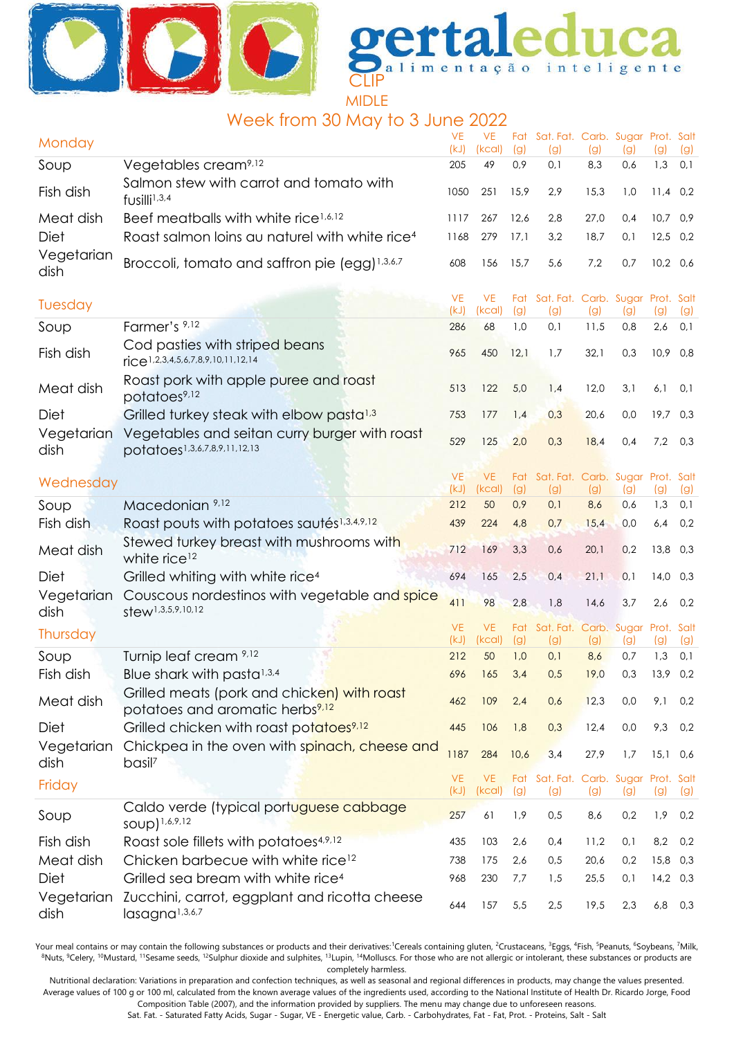



## Week from 30 May to 3 June 2022

| Monday             |                                                                                            | <b>VE</b><br>(kJ) | <b>VE</b><br>(kcal) | (g)        | Fat Sat. Fat. Carb. Sugar Prot. Salt<br>(g) | (g)         | (g)                | (g)               | (g)        |
|--------------------|--------------------------------------------------------------------------------------------|-------------------|---------------------|------------|---------------------------------------------|-------------|--------------------|-------------------|------------|
| Soup               | Vegetables cream <sup>9,12</sup>                                                           | 205               | 49                  | 0,9        | 0,1                                         | 8,3         | 0,6                | 1,3               | 0,1        |
| Fish dish          | Salmon stew with carrot and tomato with<br>fusilli <sup>1,3,4</sup>                        | 1050              | 251                 | 15,9       | 2,9                                         | 15,3        | 1,0                | $11,4$ 0,2        |            |
| Meat dish          | Beef meatballs with white rice <sup>1,6,12</sup>                                           | 1117              | 267                 | 12,6       | 2,8                                         | 27,0        | 0,4                | $10,7$ 0,9        |            |
| Diet               | Roast salmon loins au naturel with white rice <sup>4</sup>                                 | 1168              | 279                 | 17,1       | 3,2                                         | 18,7        | 0,1                | 12,5              | 0,2        |
| Vegetarian<br>dish | Broccoli, tomato and saffron pie (egg) <sup>1,3,6,7</sup>                                  | 608               | 156                 | 15,7       | 5,6                                         | 7,2         | 0,7                | $10,2$ 0,6        |            |
| Tuesday            |                                                                                            | <b>VE</b><br>(kJ) | <b>VE</b><br>(kcal) | (g)        | Fat Sat. Fat. Carb. Sugar Prot. Salt<br>(g) | (g)         | (g)                | (g)               | (g)        |
| Soup               | Farmer's 9,12                                                                              | 286               | 68                  | 1,0        | 0,1                                         | 11,5        | 0,8                | 2,6               | 0,1        |
| Fish dish          | Cod pasties with striped beans<br>$\text{rice}^{1,2,3,4,5,6,7,8,9,10,11,12,14}$            | 965               | 450                 | 12,1       | 1,7                                         | 32,1        | 0,3                | $10,9$ 0,8        |            |
| Meat dish          | Roast pork with apple puree and roast<br>potatoes <sup>9,12</sup>                          | 513               | 122                 | 5,0        | 1,4                                         | 12,0        | 3,1                | 6,1               | 0,1        |
| <b>Diet</b>        | Grilled turkey steak with elbow pasta <sup>1,3</sup>                                       | 753               | 177                 | 1,4        | 0,3                                         | 20,6        | 0,0                | $19,7$ 0,3        |            |
| Vegetarian<br>dish | Vegetables and seitan curry burger with roast<br>potatoes1,3,6,7,8,9,11,12,13              | 529               | 125                 | 2,0        | 0,3                                         | 18,4        | 0,4                | 7,2               | 0,3        |
| Wednesday          |                                                                                            | <b>VE</b>         | VE.                 |            | Fat Sat. Fat. Carb. Sugar Prot. Salt        |             |                    |                   |            |
|                    |                                                                                            | (kJ)              | (kcal)              | (g)        | (g)                                         | (g)         | (g)                | (g)               | (g)        |
| Soup<br>Fish dish  | Macedonian 9,12<br>Roast pouts with potatoes sautés1,3,4,9,12                              | 212<br>439        | 50<br>224           | 0,9<br>4,8 | 0,1<br>0,7                                  | 8,6<br>15,4 | 0,6<br>0,0         | 1,3<br>6,4        | 0,1<br>0,2 |
|                    | Stewed turkey breast with mushrooms with                                                   |                   |                     |            |                                             |             |                    |                   |            |
| Meat dish          | white rice <sup>12</sup>                                                                   | 712               | 169                 | 3,3        | 0,6                                         | 20,1        | 0,2                | 13,8 0,3          |            |
| Diet               | Grilled whiting with white rice <sup>4</sup>                                               | 694               | 165                 | 2,5        | 0,4                                         | 21,1        | 0,1                | $14,0$ 0,3        |            |
| Vegetarian<br>dish | Couscous nordestinos with vegetable and spice<br>stew <sup>1,3,5,9,10,12</sup>             | 411               | 98                  | 2,8        | 1,8                                         | 14,6        | 3,7                | 2,6               | 0,2        |
| Thursday           |                                                                                            | <b>VE</b><br>(kJ) | <b>VE</b><br>(Kcal) | (g)        | Fat Sat. Fat.<br>(g)                        | (g)         | Carb. Sugar<br>(g) | Prot. Salt<br>(g) | (g)        |
| Soup               | Turnip leaf cream 9,12                                                                     | 212               | 50                  | 1,0        | 0,1                                         | 8,6         | 0,7                | 1,3               | 0,1        |
| Fish dish          | Blue shark with pasta <sup>1,3,4</sup>                                                     | 696               | 165                 | 3,4        | 0,5                                         | 19,0        | 0,3                | 13,9              | 0,2        |
| Meat dish          | Grilled meats (pork and chicken) with roast<br>potatoes and aromatic herbs <sup>9,12</sup> | 462               | 109                 | 2,4        | 0,6                                         | 12,3        | 0,0                | 9,1               | 0,2        |
| Diet               | Grilled chicken with roast potatoes <sup>9,12</sup>                                        | 445               | 106                 | 1,8        | 0,3                                         | 12,4        | 0,0                | 9,3               | 0,2        |
| Vegetarian<br>dish | Chickpea in the oven with spinach, cheese and<br>basil <sup>7</sup>                        | 1187              | 284                 | 10,6       | 3,4                                         | 27,9        | 1,7                | 15,1              | 0,6        |
| Friday             |                                                                                            | <b>VE</b><br>(kJ) | <b>VE</b><br>(kcal) | Fat<br>(g) | Sat. Fat. Carb. Sugar Prot. Salt<br>(g)     | (g)         | (g)                | (g)               | (g)        |
| Soup               | Caldo verde (typical portuguese cabbage<br>SOUD) 1,6,9,12                                  | 257               | 61                  | 1,9        | 0,5                                         | 8,6         | 0,2                | 1,9               | 0,2        |
| Fish dish          | Roast sole fillets with potatoes <sup>4,9,12</sup>                                         | 435               | 103                 | 2,6        | 0,4                                         | 11,2        | 0,1                | 8,2               | 0,2        |
| Meat dish          | Chicken barbecue with white rice <sup>12</sup>                                             | 738               | 175                 | 2,6        | 0,5                                         | 20,6        | 0,2                | 15,8 0,3          |            |
| Diet               | Grilled sea bream with white rice <sup>4</sup>                                             | 968               | 230                 | 7,7        | 1,5                                         | 25,5        | 0,1                | $14,2$ 0,3        |            |
| Vegetarian<br>dish | Zucchini, carrot, eggplant and ricotta cheese<br>lasagna <sup>1,3,6,7</sup>                | 644               | 157                 | 5,5        | 2,5                                         | 19,5        | 2,3                | 6,8               | 0,3        |

Your meal contains or may contain the following substances or products and their derivatives:<sup>1</sup>Cereals containing gluten, <sup>2</sup>Crustaceans, <sup>3</sup>Eggs, <sup>4</sup>Fish, <sup>5</sup>Peanuts, <sup>6</sup>Soybeans, <sup>7</sup>Milk, 8Nuts, <sup>9</sup>Celery, <sup>10</sup>Mustard, <sup>11</sup>Sesame seeds, <sup>12</sup>Sulphur dioxide and sulphites, <sup>13</sup>Lupin, <sup>14</sup>Molluscs. For those who are not allergic or intolerant, these substances or products are completely harmless.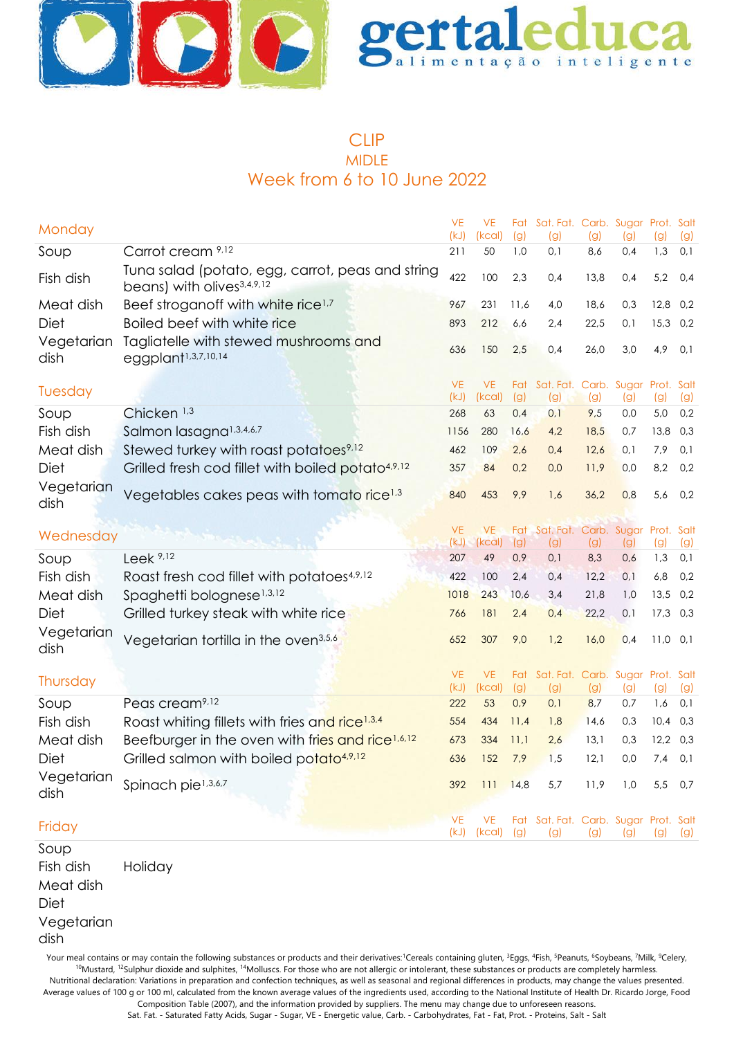



### CLIP MIDLE Week from 6 to 10 June 2022

| Monday             |                                                                                            | <b>VE</b><br>(kJ) | <b>VE</b><br>(kcal) | (g)  | Fat Sat. Fat. Carb. Sugar Prot. Salt<br>(g) | (g)  | (g) | (g)  | (g) |
|--------------------|--------------------------------------------------------------------------------------------|-------------------|---------------------|------|---------------------------------------------|------|-----|------|-----|
| Soup               | Carrot cream 9,12                                                                          | 211               | 50                  | 1,0  | 0,1                                         | 8,6  | 0,4 | 1,3  | 0,1 |
| Fish dish          | Tuna salad (potato, egg, carrot, peas and string<br>beans) with olives <sup>3,4,9,12</sup> | 422               | 100                 | 2,3  | 0,4                                         | 13,8 | 0,4 | 5,2  | 0,4 |
| Meat dish          | Beef stroganoff with white rice <sup>1,7</sup>                                             | 967               | 231                 | 11,6 | 4,0                                         | 18,6 | 0,3 | 12,8 | 0,2 |
| Diet               | Boiled beef with white rice                                                                | 893               | 212                 | 6,6  | 2,4                                         | 22,5 | 0,1 | 15,3 | 0,2 |
| Vegetarian<br>dish | Tagliatelle with stewed mushrooms and<br>eggplant <sup>1,3,7,10,14</sup>                   | 636               | 150                 | 2,5  | 0,4                                         | 26,0 | 3,0 | 4,9  | 0,1 |
| Tuesday            |                                                                                            | <b>VE</b><br>(kJ) | <b>VE</b><br>(kcal) | (g)  | Fat Sat. Fat. Carb. Sugar Prot. Salt<br>(g) | (g)  | (g) | (g)  | (g) |
| Soup               | Chicken <sup>1,3</sup>                                                                     | 268               | 63                  | 0,4  | 0,1                                         | 9,5  | 0,0 | 5,0  | 0,2 |
| Fish dish          | Salmon lasagna <sup>1,3,4,6,7</sup>                                                        | 1156              | 280                 | 16,6 | 4,2                                         | 18,5 | 0,7 | 13,8 | 0,3 |
| Meat dish          | Stewed turkey with roast potatoes <sup>9,12</sup>                                          | 462               | 109                 | 2,6  | 0,4                                         | 12,6 | 0,1 | 7,9  | 0,1 |
| <b>Diet</b>        | Grilled fresh cod fillet with boiled potato <sup>4,9,12</sup>                              | 357               | 84                  | 0,2  | 0,0                                         | 11,9 | 0,0 | 8,2  | 0,2 |
| Vegetarian<br>dish | Vegetables cakes peas with tomato rice <sup>1,3</sup>                                      | 840               | 453                 | 9,9  | 1,6                                         | 36,2 | 0,8 | 5,6  | 0,2 |
| Wednesday          |                                                                                            | <b>VE</b>         | <b>VE</b>           |      | Fat Sat. Fat. Carb. Sugar Prot. Salt        |      |     |      |     |
|                    |                                                                                            | (kJ)              | (kcal)              | (g)  | (g)                                         | (g)  | (g) | (g)  | (g) |
| Soup               | Leek $9,12$                                                                                | 207               | 49                  | 0,9  | 0,1                                         | 8,3  | 0,6 | 1,3  | 0,1 |
| Fish dish          | Roast fresh cod fillet with potatoes <sup>4,9,12</sup>                                     | 422               | 100                 | 2,4  | 0,4                                         | 12,2 | 0,1 | 6,8  | 0,2 |
| Meat dish          | Spaghetti bolognese <sup>1,3,12</sup>                                                      | 1018              | 243                 | 10,6 | 3,4                                         | 21,8 | 1,0 | 13,5 | 0,2 |
| Diet               | Grilled turkey steak with white rice                                                       | 766               | 181                 | 2,4  | 0,4                                         | 22,2 | 0,1 | 17,3 | 0,3 |
| Vegetarian<br>dish | Vegetarian tortilla in the oven <sup>3,5,6</sup>                                           | 652               | 307                 | 9,0  | 1,2                                         | 16,0 | 0,4 | 11,0 | 0,1 |
| Thursday           |                                                                                            | <b>VE</b><br>(kJ) | <b>VE</b><br>(kcal) | (g)  | Fat Sat. Fat. Carb. Sugar Prot. Salt<br>(g) | (g)  | (g) | (g)  | (g) |
| Soup               | Peas cream <sup>9,12</sup>                                                                 | 222               | 53                  | 0,9  | 0,1                                         | 8,7  | 0,7 | 1,6  | 0,1 |
| Fish dish          | Roast whiting fillets with fries and rice <sup>1,3,4</sup>                                 | 554               | 434                 | 11,4 | 1,8                                         | 14,6 | 0,3 | 10,4 | 0,3 |
| Meat dish          | Beefburger in the oven with fries and rice <sup>1,6,12</sup>                               | 673               | 334                 | 11,1 | 2,6                                         | 13,1 | 0,3 | 12,2 | 0,3 |
| <b>Diet</b>        | Grilled salmon with boiled potato <sup>4,9,12</sup>                                        | 636               | 152                 | 7,9  | 1,5                                         | 12,1 | 0,0 | 7,4  | 0,1 |
| Vegetarian<br>dish | Spinach pie <sup>1,3,6,7</sup>                                                             | 392               | 111                 | 14,8 | 5,7                                         | 11,9 | 1,0 | 5,5  | 0,7 |
| Friday             |                                                                                            | <b>VE</b>         | <b>VE</b>           |      | Fat Sat. Fat. Carb. Sugar Prot. Salt        |      |     |      |     |
| Soup               |                                                                                            | (kJ)              | (kcal)              | (g)  | (g)                                         | (g)  | (g) | (g)  | (g) |

Fish dish Holiday Meat dish Diet Vegetarian dish

Your meal contains or may contain the following substances or products and their derivatives:<sup>1</sup>Cereals containing gluten, <sup>3</sup>Eggs, <sup>4</sup>Fish, <sup>5</sup>Peanuts, <sup>6</sup>Soybeans, <sup>7</sup>Milk, <sup>9</sup>Celery, <sup>10</sup>Mustard, <sup>12</sup>Sulphur dioxide and sulphites, <sup>14</sup>Molluscs. For those who are not allergic or intolerant, these substances or products are completely harmless. Nutritional declaration: Variations in preparation and confection techniques, as well as seasonal and regional differences in products, may change the values presented. Average values of 100 g or 100 ml, calculated from the known average values of the ingredients used, according to the National Institute of Health Dr. Ricardo Jorge, Food

Composition Table (2007), and the information provided by suppliers. The menu may change due to unforeseen reasons.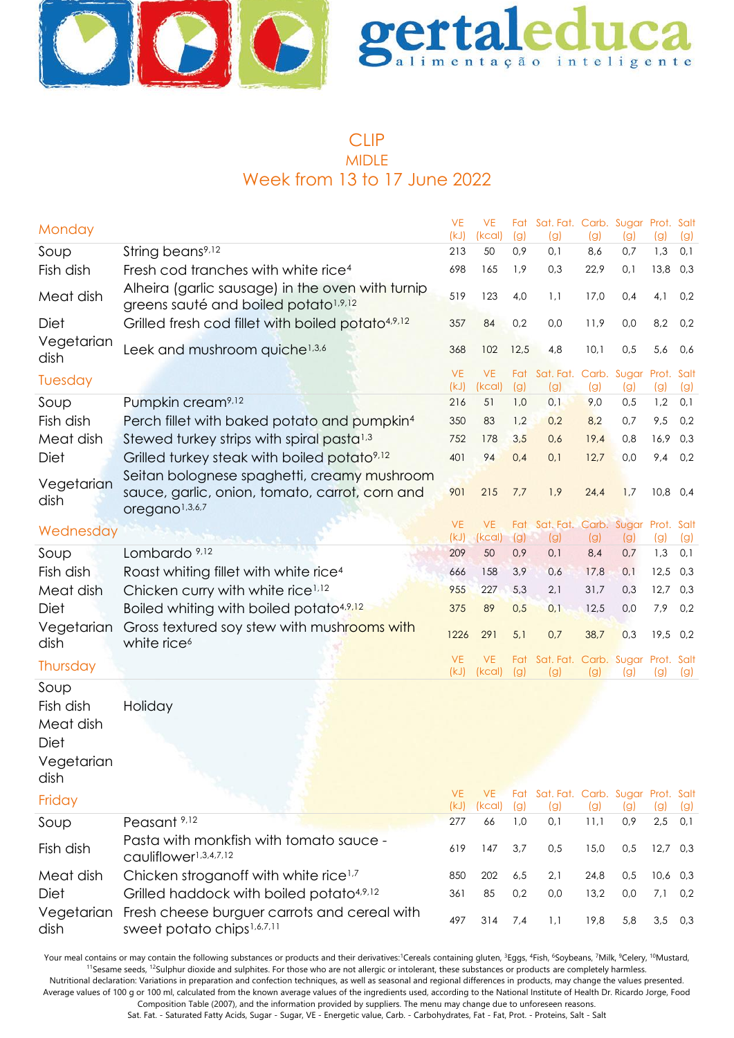



### CLIP MIDLE Week from 13 to 17 June 2022

| Monday                                       |                                                                                                      | <b>VE</b><br>(kJ) | VE<br>(kcal)        | (g)        | Fat Sat. Fat. Carb. Sugar Prot. Salt<br>(g) | (g)  | (g) | (g)               | (g) |
|----------------------------------------------|------------------------------------------------------------------------------------------------------|-------------------|---------------------|------------|---------------------------------------------|------|-----|-------------------|-----|
| Soup                                         | String beans <sup>9,12</sup>                                                                         | 213               | 50                  | 0,9        | 0,1                                         | 8,6  | 0,7 | 1,3               | 0,1 |
| Fish dish                                    | Fresh cod tranches with white rice <sup>4</sup>                                                      | 698               | 165                 | 1,9        | 0,3                                         | 22,9 | 0,1 | 13,8              | 0,3 |
| Meat dish                                    | Alheira (garlic sausage) in the oven with turnip<br>greens sauté and boiled potato <sup>1,9,12</sup> | 519               | 123                 | 4,0        | 1,1                                         | 17,0 | 0,4 | 4,1               | 0,2 |
| Diet                                         | Grilled fresh cod fillet with boiled potato <sup>4,9,12</sup>                                        | 357               | 84                  | 0,2        | 0,0                                         | 11,9 | 0,0 | 8,2               | 0,2 |
| Vegetarian<br>dish                           | Leek and mushroom quiche <sup>1,3,6</sup>                                                            | 368               | 102                 | 12,5       | 4,8                                         | 10,1 | 0,5 | 5,6               | 0,6 |
| Tuesday                                      |                                                                                                      | <b>VE</b><br>(kJ) | <b>VE</b><br>(kcal) | Fat<br>(g) | Sat. Fat. Carb. Sugar<br>(g)                | (g)  | (g) | Prot. Salt<br>(g) | (g) |
| Soup                                         | Pumpkin cream <sup>9,12</sup>                                                                        | 216               | 51                  | 1,0        | 0,1                                         | 9,0  | 0,5 | 1,2               | 0,1 |
| Fish dish                                    | Perch fillet with baked potato and pumpkin <sup>4</sup>                                              | 350               | 83                  | 1,2        | 0,2                                         | 8,2  | 0,7 | 9,5               | 0,2 |
| Meat dish                                    | Stewed turkey strips with spiral pasta <sup>1,3</sup>                                                | 752               | 178                 | 3,5        | 0,6                                         | 19,4 | 0,8 | 16,9              | 0,3 |
| Diet                                         | Grilled turkey steak with boiled potato <sup>9,12</sup>                                              | 401               | 94                  | 0,4        | 0,1                                         | 12,7 | 0,0 | 9,4               | 0,2 |
|                                              | Seitan bolognese spaghetti, creamy mushroom                                                          |                   |                     |            |                                             |      |     |                   |     |
| Vegetarian<br>dish                           | sauce, garlic, onion, tomato, carrot, corn and<br>oregano <sup>1,3,6,7</sup>                         | 901               | 215                 | 7,7        | 1,9                                         | 24,4 | 1,7 | 10,8              | 0,4 |
| Wednesday                                    |                                                                                                      | <b>VE</b>         | <b>VE</b>           | Fat        | Sat. Fat. Carb. Sugar                       |      |     | Prot. Salt        |     |
|                                              |                                                                                                      | (kJ)              | (kcal)              | (g)        | (g)                                         | (g)  | (g) | (g)               | (g) |
| Soup                                         | Lombardo <sup>9,12</sup>                                                                             | 209               | 50                  | 0,9        | 0,1                                         | 8,4  | 0,7 | 1,3               | 0,1 |
| Fish dish                                    | Roast whiting fillet with white rice <sup>4</sup>                                                    | 666               | 158                 | 3,9        | 0,6                                         | 17,8 | 0,1 | 12,5              | 0,3 |
| Meat dish                                    | Chicken curry with white rice <sup>1,12</sup>                                                        | 955               | 227                 | 5,3        | 2,1                                         | 31,7 | 0,3 | 12,7              | 0,3 |
| Diet                                         | Boiled whiting with boiled potato <sup>4,9,12</sup>                                                  | 375               | 89                  | 0,5        | 0,1                                         | 12,5 | 0,0 | 7,9               | 0,2 |
| Vegetarian<br>dish                           | Gross textured soy stew with mushrooms with<br>white rice <sup>6</sup>                               | 1226              | 291                 | 5,1        | 0,7                                         | 38,7 | 0,3 | 19,5              | 0,2 |
| Thursday                                     |                                                                                                      | <b>VE</b>         | <b>VE</b>           |            | Fat Sat. Fat. Carb. Sugar Prot. Salt        |      |     |                   |     |
| Soup                                         |                                                                                                      | (kJ)              | (kcal)              | (g)        | (g)                                         | (g)  | (g) | (g)               | (g) |
| Fish dish<br>Meat dish<br>Diet<br>Vegetarian | Holiday                                                                                              |                   |                     |            |                                             |      |     |                   |     |
| dish                                         |                                                                                                      | VE.               | <b>VE</b>           |            | Fat Sat. Fat. Carb. Sugar Prot. Salt        |      |     |                   |     |
| Friday                                       |                                                                                                      | (kJ)              | (kcal)              | (g)        | (g)                                         | (g)  | (g) | (g)               | (g) |
| Soup                                         | Peasant <sup>9,12</sup>                                                                              | 277               | 66                  | 1,0        | 0,1                                         | 11,1 | 0,9 | 2,5               | 0,1 |
| Fish dish                                    | Pasta with monkfish with tomato sauce -<br>cauliflower1,3,4,7,12                                     | 619               | 147                 | 3,7        | 0,5                                         | 15,0 | 0,5 | 12,7              | 0,3 |
| Meat dish                                    | Chicken stroganoff with white rice <sup>1,7</sup>                                                    | 850               | 202                 | 6,5        | 2,1                                         | 24,8 | 0,5 | 10,6              | 0,3 |
| Diet                                         | Grilled haddock with boiled potato <sup>4,9,12</sup>                                                 | 361               | 85                  | 0,2        | 0,0                                         | 13,2 | 0,0 | 7,1               | 0,2 |
| Vegetarian<br>dish                           | Fresh cheese burguer carrots and cereal with<br>sweet potato chips <sup>1,6,7,11</sup>               | 497               | 314                 | 7,4        | 1,1                                         | 19,8 | 5,8 | 3,5               | 0,3 |

Your meal contains or may contain the following substances or products and their derivatives:<sup>1</sup>Cereals containing gluten, <sup>3</sup>Eggs, <sup>4</sup>Fish, <sup>6</sup>Soybeans, <sup>7</sup>Milk, <sup>9</sup>Celery, <sup>10</sup>Mustard, <sup>11</sup>Sesame seeds, <sup>12</sup>Sulphur dioxide and sulphites. For those who are not allergic or intolerant, these substances or products are completely harmless.

Nutritional declaration: Variations in preparation and confection techniques, as well as seasonal and regional differences in products, may change the values presented. Average values of 100 g or 100 ml, calculated from the known average values of the ingredients used, according to the National Institute of Health Dr. Ricardo Jorge, Food Composition Table (2007), and the information provided by suppliers. The menu may change due to unforeseen reasons.

Sat. Fat. - Saturated Fatty Acids, Sugar - Sugar, VE - Energetic value, Carb. - Carbohydrates, Fat - Fat, Prot. - Proteins, Salt - Salt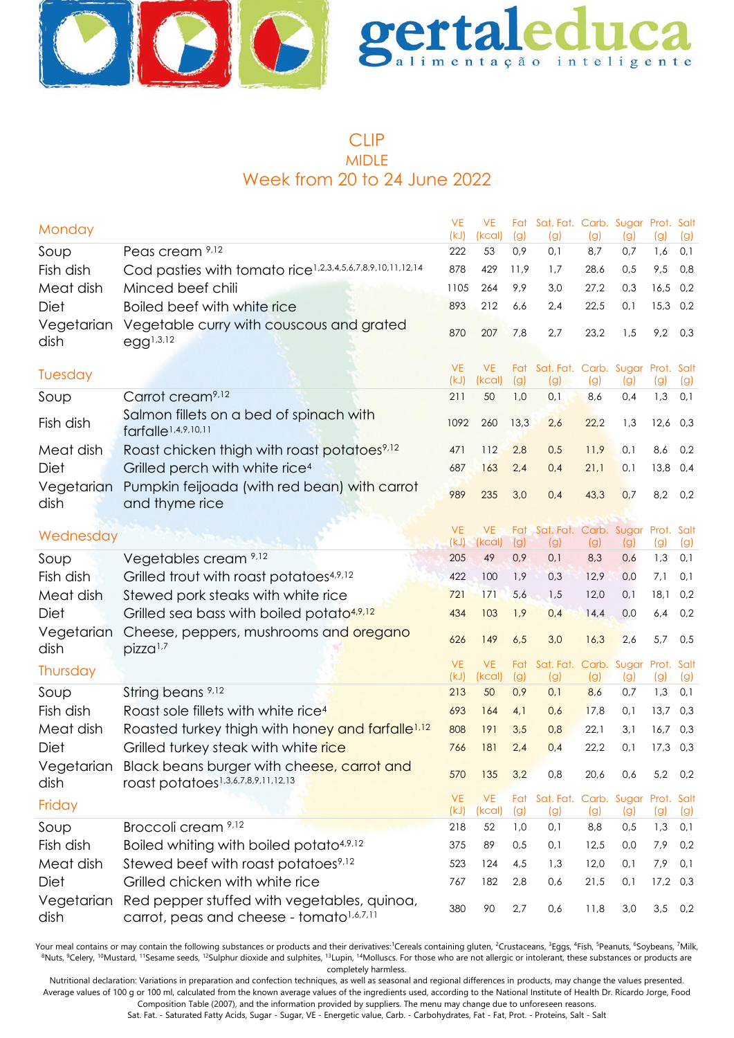



### CLIP MIDLE Week from 20 to 24 June 2022

|                    |                                                                                                         | <b>VE</b>         | <b>VE</b>           |            | Fat Sat. Fat. Carb. Sugar Prot. Salt        |            |            |            |            |
|--------------------|---------------------------------------------------------------------------------------------------------|-------------------|---------------------|------------|---------------------------------------------|------------|------------|------------|------------|
| Monday             |                                                                                                         | (kJ)              | (kcal)              | (g)        | (g)                                         | (g)        | (g)        | (g)        | (g)        |
| Soup               | Peas cream 9,12                                                                                         | 222               | 53                  | 0,9        | 0,1                                         | 8,7        | 0,7        | 1,6        | 0,1        |
| Fish dish          | Cod pasties with tomato rice <sup>1,2,3,4,5,6,7,8,9,10,11,12,14</sup>                                   | 878               | 429                 | 11,9       | 1,7                                         | 28,6       | 0,5        | 9,5        | 0,8        |
| Meat dish          | Minced beef chili                                                                                       | 1105              | 264                 | 9,9        | 3,0                                         | 27,2       | 0,3        | 16,5       | 0,2        |
| Diet               | Boiled beef with white rice                                                                             | 893               | 212                 | 6,6        | 2,4                                         | 22,5       | 0,1        | 15,3       | 0,2        |
| Vegetarian<br>dish | Vegetable curry with couscous and grated<br>$egg^{1,3,12}$                                              | 870               | 207                 | 7,8        | 2,7                                         | 23,2       | 1,5        | 9,2        | 0,3        |
| Tuesday            |                                                                                                         | <b>VE</b><br>(kJ) | <b>VE</b><br>(kcal) | (g)        | Fat Sat. Fat. Carb. Sugar Prot. Salt<br>(g) | (g)        | (g)        | (g)        | (g)        |
| Soup               | Carrot cream <sup>9,12</sup>                                                                            | 211               | 50                  | 1,0        | 0,1                                         | 8,6        | 0,4        | 1,3        | 0,1        |
| Fish dish          | Salmon fillets on a bed of spinach with<br>farfalle <sup>1,4,9,10,11</sup>                              | 1092              | 260                 | 13,3       | 2,6                                         | 22,2       | 1,3        | $12,6$ 0,3 |            |
| Meat dish          | Roast chicken thigh with roast potatoes <sup>9,12</sup>                                                 | 471               | 112                 | 2,8        | 0,5                                         | 11,9       | 0,1        | 8,6        | 0,2        |
| Diet               | Grilled perch with white rice <sup>4</sup>                                                              | 687               | 163                 | 2,4        | 0,4                                         | 21,1       | 0,1        | 13,8       | 0,4        |
| Vegetarian<br>dish | Pumpkin feijoada (with red bean) with carrot<br>and thyme rice                                          | 989               | 235                 | 3,0        | 0,4                                         | 43,3       | 0,7        | 8,2        | 0,2        |
|                    |                                                                                                         | <b>VE</b>         | <b>VE</b>           |            | Fat Sat. Fat. Carb. Sugar Prot. Salt        |            |            |            |            |
| Wednesday          |                                                                                                         | (kJ)              | (kcal)              | (g)        | (g)                                         | (g)        | (g)        | (g)        | (g)        |
| Soup               | Vegetables cream 9,12                                                                                   | 205               | 49                  | 0,9        | 0,1                                         | 8,3        | 0,6        | 1,3        | 0,1        |
| Fish dish          | Grilled trout with roast potatoes <sup>4,9,12</sup>                                                     | 422               | 100                 | 1,9        | 0,3                                         | 12,9       | 0,0        | 7,1        | 0,1        |
| Meat dish          | Stewed pork steaks with white rice                                                                      | 721               | 171                 | 5,6        | 1,5                                         | 12,0       | 0,1        | 18,1       | 0,2        |
| Diet               | Grilled sea bass with boiled potato <sup>4,9,12</sup>                                                   | 434               | 103                 | 1,9        | 0,4                                         | 14,4       | 0,0        | 6,4        | 0,2        |
| Vegetarian<br>dish | Cheese, peppers, mushrooms and oregano<br>pizza <sup>1,7</sup>                                          | 626               | 149                 | 6,5        | 3,0                                         | 16,3       | 2,6        | 5,7        | 0,5        |
| Thursday           |                                                                                                         | <b>VE</b>         | <b>VE</b>           | Fat        | Sat. Fat. Carb. Sugar Prot. Salt            |            |            |            |            |
| Soup               | String beans <sup>9,12</sup>                                                                            | (kJ)<br>213       | (kcal)<br>50        | (g)<br>0,9 | (g)<br>0,1                                  | (g)<br>8,6 | (g)<br>0,7 | (g)<br>1,3 | (g)<br>0,1 |
| Fish dish          | Roast sole fillets with white rice <sup>4</sup>                                                         | 693               | 164                 | 4,1        | 0,6                                         | 17,8       | 0,1        | 13,7       | 0,3        |
| Meat dish          | Roasted turkey thigh with honey and farfalle <sup>1,12</sup>                                            | 808               | 191                 | 3,5        | 0,8                                         | 22,1       | 3,1        | 16,7       | 0,3        |
| Diet               | Grilled turkey steak with white rice                                                                    | 766               | 181                 | 2,4        | 0,4                                         | 22,2       | 0,1        | $17,3$ 0,3 |            |
| dish               | Vegetarian Black beans burger with cheese, carrot and<br>roast potatoes <sup>1,3,6,7,8,9,11,12,13</sup> | 570               | 135                 | 3,2        | 0,8                                         | 20,6       | 0,6        | 5,2        | 0,2        |
| Friday             |                                                                                                         | <b>VE</b>         | <b>VE</b>           | Fat        | Sat. Fat. Carb. Sugar Prot. Salt            |            |            |            |            |
|                    |                                                                                                         | (kJ)              | (kcal)              | (g)        | (g)                                         | (g)        | (g)        | (g)        | (g)        |
| Soup               | Broccoli cream 9,12                                                                                     | 218               | 52                  | 1,0        | 0,1                                         | 8,8        | 0,5        | 1,3        | 0,1        |
| Fish dish          | Boiled whiting with boiled potato4,9,12                                                                 | 375               | 89                  | 0,5        | 0,1                                         | 12,5       | 0,0        | 7,9        | 0,2        |
| Meat dish          | Stewed beef with roast potatoes <sup>9,12</sup>                                                         | 523               | 124                 | 4,5        | 1,3                                         | 12,0       | 0,1        | 7,9        | 0,1        |
| Diet               | Grilled chicken with white rice                                                                         | 767               | 182                 | 2,8        | 0,6                                         | 21,5       | 0,1        | $17,2$ 0,3 |            |
| Vegetarian<br>dish | Red pepper stuffed with vegetables, quinoa,<br>carrot, peas and cheese - tomato <sup>1,6,7,11</sup>     | 380               | 90                  | 2,7        | 0,6                                         | 11,8       | 3,0        | 3,5        | 0,2        |

Your meal contains or may contain the following substances or products and their derivatives:<sup>1</sup>Cereals containing gluten, <sup>2</sup>Crustaceans, <sup>3</sup>Eggs, <sup>4</sup>Fish, <sup>5</sup>Peanuts, <sup>6</sup>Soybeans, <sup>7</sup>Milk, <sup>8</sup>Nuts, <sup>9</sup>Celery, <sup>10</sup>Mustard, <sup>11</sup>Sesame seeds, <sup>12</sup>Sulphur dioxide and sulphites, <sup>13</sup>Lupin, <sup>14</sup>Molluscs. For those who are not allergic or intolerant, these substances or products are completely harmless.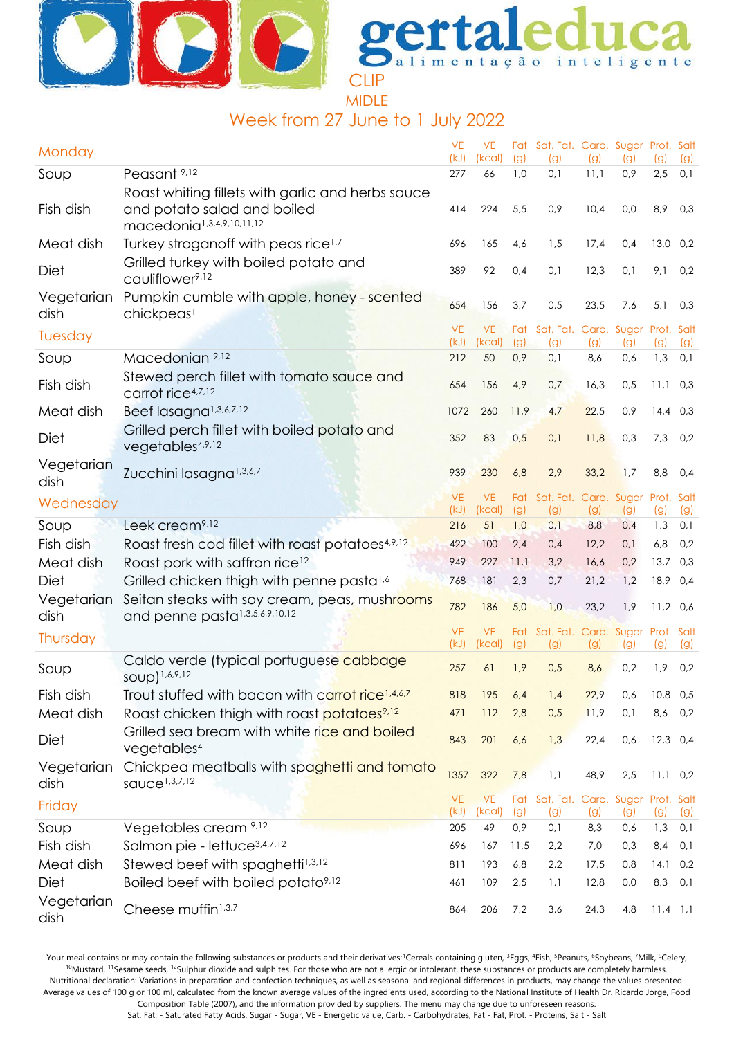

MIDLE

## Week from 27 June to 1 July 2022

| Monday             |                                                                                             | <b>VE</b><br>(kJ) | <b>VE</b><br>(kcal) | (g)        | Fat Sat. Fat. Carb. Sugar Prot. Salt<br>(g) | (g)        | (g)        | (g)        | (g)        |
|--------------------|---------------------------------------------------------------------------------------------|-------------------|---------------------|------------|---------------------------------------------|------------|------------|------------|------------|
| Soup               | Peasant <sup>9,12</sup>                                                                     | 277               | 66                  | 1,0        | 0,1                                         | 11,1       | 0,9        | 2,5        | 0,1        |
|                    | Roast whiting fillets with garlic and herbs sauce                                           |                   |                     |            |                                             |            |            |            |            |
| Fish dish          | and potato salad and boiled<br>macedonia <sup>1,3,4,9,10,11,12</sup>                        | 414               | 224                 | 5,5        | 0,9                                         | 10,4       | 0,0        | 8,9        | 0,3        |
| Meat dish          | Turkey stroganoff with peas rice <sup>1,7</sup>                                             | 696               | 165                 | 4,6        | 1,5                                         | 17,4       | 0,4        | $13,0$ 0,2 |            |
| Diet               | Grilled turkey with boiled potato and<br>cauliflower <sup>9,12</sup>                        | 389               | 92                  | 0,4        | 0,1                                         | 12,3       | 0,1        | 9,1        | 0,2        |
| Vegetarian<br>dish | Pumpkin cumble with apple, honey - scented<br>chickpeas <sup>1</sup>                        | 654               | 156                 | 3,7        | 0,5                                         | 23,5       | 7,6        | 5,1        | 0,3        |
| Tuesday            |                                                                                             | <b>VE</b>         | <b>VE</b>           | Fat        | Sat. Fat. Carb. Sugar                       |            |            | Prot. Salt |            |
| Soup               | Macedonian 9,12                                                                             | (kJ)<br>212       | (kcal)<br>50        | (g)<br>0,9 | (g)<br>0,1                                  | (g)<br>8,6 | (g)<br>0,6 | (g)<br>1,3 | (g)<br>0,1 |
| Fish dish          | Stewed perch fillet with tomato sauce and<br>carrot rice <sup>4,7,12</sup>                  | 654               | 156                 | 4,9        | 0,7                                         | 16,3       | 0,5        | 11,1       | 0,3        |
| Meat dish          | Beef lasagna <sup>1,3,6,7,12</sup>                                                          | 1072              | 260                 | 11,9       | 4,7                                         | 22,5       | 0,9        | $14,4$ 0,3 |            |
|                    | Grilled perch fillet with boiled potato and                                                 |                   |                     |            |                                             |            |            |            |            |
| Diet               | vegetables <sup>4,9,12</sup>                                                                | 352               | 83                  | 0,5        | 0,1                                         | 11,8       | 0,3        | 7,3        | 0,2        |
| Vegetarian<br>dish | Zucchini lasagna <sup>1,3,6,7</sup>                                                         | 939               | 230                 | 6,8        | 2,9                                         | 33,2       | 1,7        | 8,8        | 0,4        |
| Wednesday          |                                                                                             | <b>VE</b><br>(kJ) | <b>VE</b><br>(kcal) | (g)        | Fat Sat. Fat. Carb. Sugar Prot. Salt<br>(g) | (g)        | (g)        | (g)        | (g)        |
| Soup               | Leek cream <sup>9,12</sup>                                                                  | 216               | 51                  | 1,0        | 0,1                                         | 8,8        | 0,4        | 1,3        | 0,1        |
| Fish dish          | Roast fresh cod fillet with roast potatoes <sup>4,9,12</sup>                                | 422               | 100                 | 2,4        | 0,4                                         | 12,2       | 0,1        | 6,8        | 0,2        |
| Meat dish          | Roast pork with saffron rice <sup>12</sup>                                                  | 949               | 227                 | 11,1       | 3,2                                         | 16,6       | 0,2        | 13,7       | 0,3        |
| <b>Diet</b>        | Grilled chicken thigh with penne pasta <sup>1,6</sup>                                       | 768               | 181                 | 2,3        | 0,7                                         | 21,2       | 1,2        | 18,9       | 0,4        |
| Vegetarian<br>dish | Seitan steaks with soy cream, peas, mushrooms<br>and penne pasta <sup>1,3,5,6,9,10,12</sup> | 782               | 186                 | 5,0        | 1,0                                         | 23,2       | 1,9        | $11,2$ 0,6 |            |
| Thursday           |                                                                                             | <b>VE</b>         | <b>VE</b>           | Fat        | Sat. Fat. Carb. Sugar Prot. Salt            |            |            |            |            |
|                    |                                                                                             | (kJ)              | (kcal)              | (g)        | (g)                                         | (g)        | (g)        | (g)        | (g)        |
| Soup               | Caldo verde (typical portuguese cabbage<br>soup) 1,6,9,12                                   | 257               | 61                  | 1,9        | 0,5                                         | 8,6        | 0,2        | 1,9        | 0,2        |
| Fish dish          | Trout stuffed with bacon with carrot rice <sup>1,4,6,7</sup>                                | 818               | 195                 | 6,4        | 1,4                                         | 22,9       | 0,6        | 10,8 0,5   |            |
| Meat dish          | Roast chicken thigh with roast potatoes <sup>9,12</sup>                                     | 471               | 112                 | 2,8        | 0,5                                         | 11,9       | 0,1        | 8,6        | 0,2        |
| <b>Diet</b>        | Grilled sea bream with white rice and boiled<br>vegetables <sup>4</sup>                     | 843               | 201                 | 6,6        | 1,3                                         | 22,4       | 0,6        | $12,3$ 0,4 |            |
| Vegetarian<br>dish | Chickpea meatballs with spaghetti and tomato<br>sauce <sup>1,3,7,12</sup>                   | 1357              | 322                 | 7,8        | 1,1                                         | 48,9       | 2,5        | $11,1$ 0,2 |            |
| Friday             |                                                                                             | <b>VE</b>         | <b>VE</b>           | Fat        | Sat. Fat. Carb. Sugar Prot. Salt            |            |            |            |            |
| Soup               | Vegetables cream 9,12                                                                       | (kJ)<br>205       | (kcal)<br>49        | (g)<br>0,9 | (g)<br>0,1                                  | (g)<br>8,3 | (g)<br>0,6 | (g)<br>1,3 | (g)<br>0,1 |
| Fish dish          | Salmon pie - lettuce <sup>3,4,7,12</sup>                                                    | 696               | 167                 | 11,5       | 2,2                                         | 7,0        | 0,3        | 8,4        | 0,1        |
| Meat dish          | Stewed beef with spaghetti <sup>1,3,12</sup>                                                | 811               | 193                 | 6,8        | 2,2                                         | 17,5       | 0,8        | 14,1       | 0,2        |
| Diet               | Boiled beef with boiled potato <sup>9,12</sup>                                              | 461               | 109                 | 2,5        | 1,1                                         | 12,8       | 0,0        | 8,3        | 0,1        |
| Vegetarian<br>dish | Cheese muffin <sup>1,3,7</sup>                                                              | 864               | 206                 | 7,2        | 3,6                                         | 24,3       | 4,8        | $11,4$ 1,1 |            |

Your meal contains or may contain the following substances or products and their derivatives:<sup>1</sup>Cereals containing gluten, <sup>3</sup>Eggs, <sup>4</sup>Fish, <sup>5</sup>Peanuts, <sup>6</sup>Soybeans, <sup>7</sup>Milk, <sup>9</sup>Celery, <sup>10</sup>Mustard, <sup>11</sup>Sesame seeds, <sup>12</sup>Sulphur dioxide and sulphites. For those who are not allergic or intolerant, these substances or products are completely harmless. Nutritional declaration: Variations in preparation and confection techniques, as well as seasonal and regional differences in products, may change the values presented. Average values of 100 g or 100 ml, calculated from the known average values of the ingredients used, according to the National Institute of Health Dr. Ricardo Jorge, Food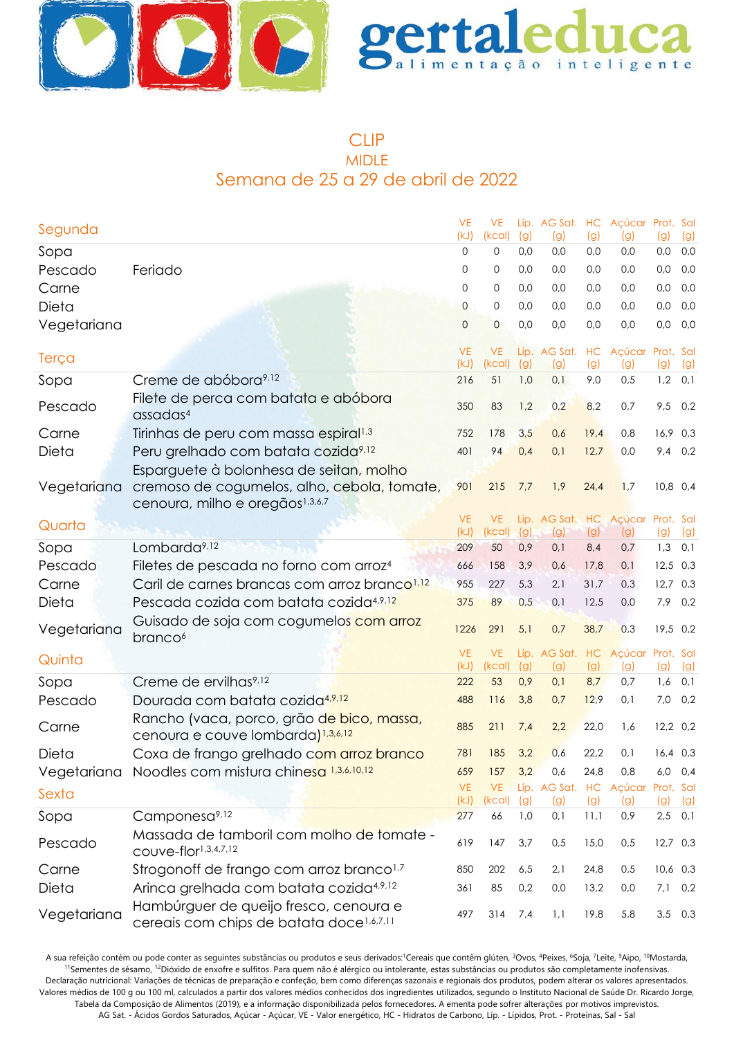



### CLIP MIDLE Semana de 25 a 29 de abril de 2022

| Segunda         |                                                                                                | <b>VE</b><br>(kJ) | <b>VE</b><br>(kcal) | (g)        | Líp. AG Sat. HC Açúcar Prot. Sal<br>(g) | (g)        | (g)                                   | (g)              | (g)         |
|-----------------|------------------------------------------------------------------------------------------------|-------------------|---------------------|------------|-----------------------------------------|------------|---------------------------------------|------------------|-------------|
| Sopa            |                                                                                                | 0                 | 0                   | 0,0        | 0,0                                     | 0,0        | 0,0                                   | 0,0              | 0,0         |
| Pescado         | Feriado                                                                                        | 0                 | 0                   | 0,0        | 0,0                                     | 0,0        | 0,0                                   | 0,0              | 0,0         |
| Carne           |                                                                                                | 0                 | 0                   | 0,0        | 0,0                                     | 0,0        | 0,0                                   | 0,0              | 0,0         |
| Dieta           |                                                                                                | 0                 | 0                   | 0,0        | 0,0                                     | 0,0        | 0,0                                   | 0,0              | 0,0         |
| Vegetariana     |                                                                                                | $\overline{0}$    | $\mathbf 0$         | 0,0        | 0,0                                     | 0,0        | 0,0                                   | 0,0              | 0,0         |
| Terça           |                                                                                                | <b>VE</b><br>(kJ) | <b>VE</b><br>(kcal) | (g)        | Líp. AG Sat. HC<br>(g)                  | (g)        | Açúcar<br>(g)                         | Prot. Sal<br>(g) | (g)         |
| Sopa            | Creme de abóborg <sup>9,12</sup>                                                               | 216               | 51                  | 1,0        | 0,1                                     | 9,0        | 0,5                                   | $1,2$ 0,1        |             |
| Pescado         | Filete de perca com batata e abóbora<br>$\alpha$ ssadas $4$                                    | 350               | 83                  | 1,2        | 0,2                                     | 8,2        | 0,7                                   | 9,5              | 0,2         |
| Carne           | Tirinhas de peru com massa espiral <sup>1,3</sup>                                              | 752               | 178                 | 3,5        | 0,6                                     | 19,4       | 0,8                                   | 16,9 0,3         |             |
| Dieta           | Peru grelhado com batata cozida <sup>9,12</sup>                                                | 401               | 94                  | 0,4        | 0,1                                     | 12,7       | 0,0                                   |                  | 9,4 0,2     |
|                 | Esparguete à bolonhesa de seitan, molho                                                        |                   |                     |            |                                         |            |                                       |                  |             |
| Vegetariana     | cremoso de cogumelos, alho, cebola, tomate,<br>cenoura, milho e oregãos <sup>1,3,6,7</sup>     | 901               | 215                 | 7,7        | 1,9                                     | 24,4       | 1,7                                   | $10,8$ 0,4       |             |
| Quarta          |                                                                                                | <b>VE</b>         | <b>VE</b>           |            | Líp. AG Sat. HC Açúcar Prot. Sal        |            |                                       |                  |             |
|                 | Lombarda <sup>9,12</sup>                                                                       | (kJ)<br>209       | (kcal)<br>50        | (g)<br>0,9 | (g)<br>0,1                              | (g)<br>8,4 | (g)<br>0,7                            | (g)<br>1,3       | (g)<br>0,1  |
| Sopa<br>Pescado | Filetes de pescada no forno com arroz <sup>4</sup>                                             | 666               | 158                 | 3,9        | 0,6                                     | 17,8       | 0,1                                   | $12,5$ 0,3       |             |
| Carne           | Caril de carnes brancas com arroz branco <sup>1,12</sup>                                       | 955               | 227                 | 5,3        | 2,1                                     | 31,7       | 0,3                                   | $12,7$ 0,3       |             |
| Dieta           | Pescada cozida com batata cozida <sup>4,9,12</sup>                                             | 375               | 89                  | 0,5        | 0,1                                     | 12,5       | 0,0                                   | 7,9 0,2          |             |
|                 | Guisado de soja com cogumelos com arroz                                                        |                   |                     |            |                                         |            |                                       |                  |             |
| Vegetariana     | branco <sup>6</sup>                                                                            | 1226              | 291                 | 5,1        | 0,7                                     | 38,7       | 0,3                                   | 19,5 0,2         |             |
| Quinta          |                                                                                                | <b>VE</b><br>(kJ) | <b>VE</b><br>(kcal) | (g)        | Líp. AG Sat. HC<br>(g)                  | (g)        | Açúcar Prot. Sal<br>$\left( 9\right)$ | (g)              | (g)         |
| Sopa            | Creme de ervilhas <sup>9,12</sup>                                                              | 222               | 53                  | 0,9        | 0,1                                     | 8,7        | 0,7                                   | 1,6              | 0,1         |
| Pescado         | Dourada com batata cozida <sup>4,9,12</sup>                                                    | 488               | 116                 | 3,8        | 0,7                                     | 12,9       | 0,1                                   | 7,0              | 0,2         |
| Carne           | Rancho (vaca, porco, grão de bico, massa,<br>cenoura e couve lombarda) 1,3,6,12                | 885               | 211                 | 7,4        | 2,2                                     | 22,0       | 1,6                                   | $12,2$ 0,2       |             |
| Dieta           | Coxa de frango grelhado com arroz branco                                                       | 781               | 185                 | 3,2        | 0,6                                     | 22,2       | 0,1                                   | $16,4$ 0.3       |             |
|                 | Vegetariana Noodles com mistura chine <mark>sa 1,3,6,10,12</mark>                              | 659               | 157                 | 3,2        | 0,6                                     | 24,8       | 0,8                                   |                  | $6,0$ $0,4$ |
| Sexta           |                                                                                                | <b>VE</b><br>(kJ) | <b>VE</b><br>(kcal) | (g)        | Líp. AG Sat. HC Açúcar<br>(g)           | (g)        | (g)                                   | Prot. Sal<br>(g) | (g)         |
| Sopa            | Camponesa <sup>9,12</sup>                                                                      | 277               | 66                  | 1,0        | 0,1                                     | 11,1       | 0,9                                   | $2,5$ 0,1        |             |
| Pescado         | Massada de tamboril com molho de tomate -<br>COUVe-flor <sup>1,3,4,7,12</sup>                  | 619               | 147                 | 3,7        | 0,5                                     | 15,0       | 0,5                                   | $12,7$ 0,3       |             |
| Carne           | Strogonoff de frango com arroz branco <sup>1,7</sup>                                           | 850               | 202                 | 6,5        | 2,1                                     | 24,8       | 0,5                                   | $10,6$ 0,3       |             |
| Dieta           | Arinca grelhada com batata cozida <sup>4,9,12</sup>                                            | 361               | 85                  | 0,2        | 0,0                                     | 13,2       | 0,0                                   | 7,1              | 0,2         |
| Vegetariana     | Hambúrguer de queijo fresco, cenoura e<br>cereais com chips de batata doce <sup>1,6,7,11</sup> | 497               | 314                 | 7,4        | 1,1                                     | 19,8       | 5,8                                   | $3,5$ 0,3        |             |

A sua refeição contém ou pode conter as seguintes substâncias ou produtos e seus derivados:<sup>1</sup>Cereais que contêm glúten, <sup>3</sup>Ovos, <sup>4</sup>Peixes, <sup>6</sup>Soja, <sup>7</sup>Leite, <sup>9</sup>Aipo, <sup>10</sup>Mostarda, <sup>11</sup>Sementes de sésamo, <sup>12</sup>Dióxido de enxofre e sulfitos. Para quem não é alérgico ou intolerante, estas substâncias ou produtos são completamente inofensivas. Declaração nutricional: Variações de técnicas de preparação e confeção, bem como diferenças sazonais e regionais dos produtos, podem alterar os valores apresentados. Valores médios de 100 g ou 100 ml, calculados a partir dos valores médios conhecidos dos ingredientes utilizados, segundo o Instituto Nacional de Saúde Dr. Ricardo Jorge, Tabela da Composição de Alimentos (2019), e a informação disponibilizada pelos fornecedores. A ementa pode sofrer alterações por motivos imprevistos. AG Sat. - Ácidos Gordos Saturados, Açúcar - Açúcar, VE - Valor energético, HC - Hidratos de Carbono, Líp. - Lípidos, Prot. - Proteínas, Sal - Sal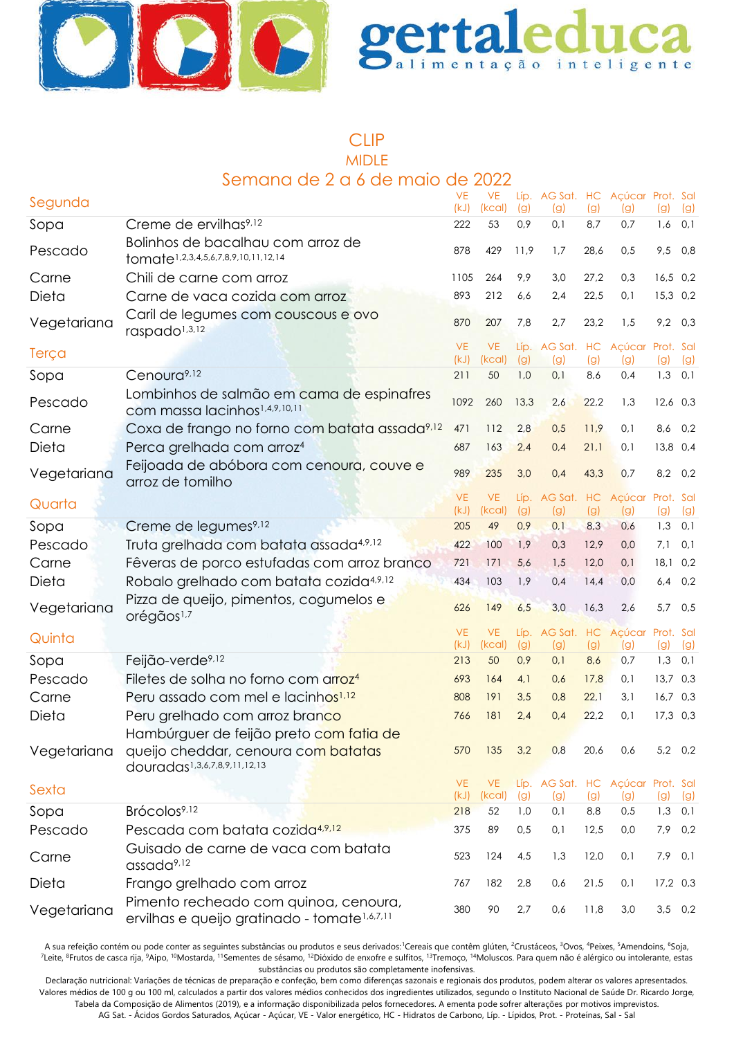



#### CLIP MIDLE Semana de 2 a 6 de maio de 2022

|             | <u>JAHII JU O DI SIDU DIIDI IJU O</u>                                                             | uc                | ZUZZ                |            |                                         |            |            |                  |            |
|-------------|---------------------------------------------------------------------------------------------------|-------------------|---------------------|------------|-----------------------------------------|------------|------------|------------------|------------|
| Segunda     |                                                                                                   | <b>VE</b><br>(kJ) | <b>VE</b><br>(kcal) | (g)        | Líp. AG Sat. HC Açúcar Prot. Sal<br>(g) | (g)        | (g)        | (g)              | (g)        |
| Sopa        | Creme de ervilhas <sup>9,12</sup>                                                                 | 222               | 53                  | 0,9        | 0,1                                     | 8,7        | 0,7        | 1,6              | 0,1        |
| Pescado     | Bolinhos de bacalhau com arroz de<br>tomate <sup>1,2,3,4,5,6,7,8,9,10,11,12,14</sup>              | 878               | 429                 | 11,9       | 1,7                                     | 28,6       | 0,5        | 9,5 0,8          |            |
| Carne       | Chili de carne com arroz                                                                          | 1105              | 264                 | 9,9        | 3,0                                     | 27,2       | 0,3        | $16,5$ 0,2       |            |
| Dieta       | Carne de vaca cozida com arroz                                                                    | 893               | 212                 | 6,6        | 2,4                                     | 22,5       | 0,1        | 15,3 0,2         |            |
| Vegetariana | Caril de legumes com couscous e ovo<br>raspado <sup>1,3,12</sup>                                  | 870               | 207                 | 7,8        | 2,7                                     | 23,2       | 1,5        | $9,2$ 0,3        |            |
| Terça       |                                                                                                   | <b>VE</b><br>(kJ) | <b>VE</b><br>(kcal) | (g)        | Líp. AG Sat. HC Açúcar Prot. Sal<br>(g) | (g)        | (g)        | (g)              | (g)        |
| Sopa        | Cenoura <sup>9,12</sup>                                                                           | 211               | 50                  | 1,0        | 0,1                                     | 8,6        | 0,4        | $1,3$ 0,1        |            |
| Pescado     | Lombinhos de salmão em cama de espinafres<br>com massa lacinhos <sup>1,4,9,10,11</sup>            | 1092              | 260                 | 13,3       | 2,6                                     | 22,2       | 1,3        | $12,6$ 0,3       |            |
| Carne       | Coxa de frango no forno com batata assada <sup>9,12</sup>                                         | 471               | 112                 | 2,8        | 0,5                                     | 11,9       | 0,1        | 8,6 0,2          |            |
| Dieta       | Perca grelhada com arroz <sup>4</sup>                                                             | 687               | 163                 | 2,4        | 0,4                                     | 21,1       | 0,1        | 13,8 0,4         |            |
| Vegetariana | Feijoada de abóbora com cenoura, couve e<br>arroz de tomilho                                      | 989               | 235                 | 3,0        | 0,4                                     | 43,3       | 0,7        | $8,2$ 0,2        |            |
| Quarta      |                                                                                                   | <b>VE</b>         | <b>VE</b>           |            | Líp. AG Sat. HC Açúcar Prot. Sal        |            |            |                  |            |
| Sopa        | Creme de legumes <sup>9,12</sup>                                                                  | (kJ)<br>205       | (kcal)<br>49        | (g)<br>0,9 | (g)<br>0,1                              | (g)<br>8,3 | (g)<br>0,6 | (g)<br>1,3       | (g)<br>0,1 |
| Pescado     | Truta grelhada com batata assada <sup>4,9,12</sup>                                                | 422               | 100                 | 1,9        | 0,3                                     | 12,9       | 0,0        | 7,1              | 0,1        |
| Carne       | Fêveras de porco estufadas com arroz branco                                                       | 721               | 171                 | 5,6        | 1,5                                     | 12,0       | 0,1        | 18,10,2          |            |
| Dieta       | Robalo grelhado com batata cozida <sup>4,9,12</sup>                                               | 434               | 103                 | 1,9        | 0,4                                     | 14,4       | 0,0        | 6,4              | 0,2        |
|             | Pizza de queijo, pimentos, cogumelos e                                                            |                   |                     |            |                                         |            |            |                  |            |
| Vegetariana | orégãos <sup>1,7</sup>                                                                            | 626               | 149                 | 6,5        | 3,0                                     | 16,3       | 2,6        | 5,7 0,5          |            |
| Quinta      |                                                                                                   | <b>VE</b>         | <b>VE</b>           |            | Líp. AG Sat. HC Açúcar Prot. Sal        |            |            |                  |            |
| Sopa        | Feijão-verde <sup>9,12</sup>                                                                      | (kJ)<br>213       | (kcal)<br>50        | (g)<br>0,9 | (g)<br>0,1                              | (g)<br>8,6 | (g)<br>0,7 | (g)<br>1,3       | (g)<br>0,1 |
| Pescado     | Filetes de solha no forno com arroz <sup>4</sup>                                                  | 693               | 164                 | 4,1        | 0,6                                     | 17,8       | 0,1        | $13,7$ 0,3       |            |
| Carne       | Peru assado com mel e lacinhos <sup>1,12</sup>                                                    | 808               | 191                 | 3,5        | 0,8                                     | 22,1       | 3,1        | $16,7$ 0,3       |            |
| Dieta       | Peru grelhado com arroz branco                                                                    | 766               | 181                 | 2,4        | 0,4                                     | 22,2       | 0,1        | $17,3$ 0,3       |            |
|             | Hambúrguer de feijão preto com fatia de                                                           |                   |                     |            |                                         |            |            |                  |            |
| Vegetariana | queijo cheddar, cenoura com batatas<br>douradas <sup>1,3,6,7,8,9,11,12,13</sup>                   | 570               | 135                 | 3,2        | 0,8                                     | 20,6       | 0,6        | 5,2 0,2          |            |
| Sexta       |                                                                                                   | <b>VE</b><br>(kJ) | <b>VE</b><br>(kcal) | (g)        | Líp. AG Sat. HC Açúcar Prot. Sal        |            |            |                  |            |
| Sopa        | Brócolos <sup>9,12</sup>                                                                          | 218               | 52                  | 1,0        | (g)<br>0,1                              | (g)<br>8,8 | (g)<br>0,5 | (g)<br>$1,3$ 0,1 | (g)        |
| Pescado     | Pescada com batata cozida <sup>4,9,12</sup>                                                       | 375               | 89                  | 0,5        | 0,1                                     | 12,5       | 0,0        | 7,9 0,2          |            |
| Carne       | Guisado de carne de vaca com batata<br>assada <sup>9,12</sup>                                     | 523               | 124                 | 4,5        | 1,3                                     | 12,0       | 0,1        | $7,9$ 0,1        |            |
| Dieta       | Frango grelhado com arroz                                                                         | 767               | 182                 | 2,8        | 0,6                                     | 21,5       | 0,1        | 17,2 0,3         |            |
| Vegetariana | Pimento recheado com quinoa, cenoura,<br>ervilhas e queijo gratinado - tomate <sup>1,6,7,11</sup> | 380               | 90                  | 2,7        | 0,6                                     | 11,8       | 3,0        | $3,5$ 0,2        |            |

A sua refeição contém ou pode conter as seguintes substâncias ou produtos e seus derivados: Cereais que contêm glúten, <sup>2</sup>Crustáceos, <sup>3</sup>Ovos, <sup>4</sup>Peixes, <sup>5</sup>Amendoins, <sup>6</sup>Soja, <sup>7</sup>Leite, <sup>8</sup>Frutos de casca rija, <sup>9</sup>Aipo, <sup>10</sup>Mostarda, <sup>11</sup>Sementes de sésamo, <sup>12</sup>Dióxido de enxofre e sulfitos, <sup>13</sup>Tremoço, <sup>14</sup>Moluscos. Para quem não é alérgico ou intolerante, estas substâncias ou produtos são completamente inofensivas.

Declaração nutricional: Variações de técnicas de preparação e confeção, bem como diferenças sazonais e regionais dos produtos, podem alterar os valores apresentados. Valores médios de 100 g ou 100 ml, calculados a partir dos valores médios conhecidos dos ingredientes utilizados, segundo o Instituto Nacional de Saúde Dr. Ricardo Jorge, Tabela da Composição de Alimentos (2019), e a informação disponibilizada pelos fornecedores. A ementa pode sofrer alterações por motivos imprevistos. AG Sat. - Ácidos Gordos Saturados, Açúcar - Açúcar, VE - Valor energético, HC - Hidratos de Carbono, Líp. - Lípidos, Prot. - Proteínas, Sal - Sal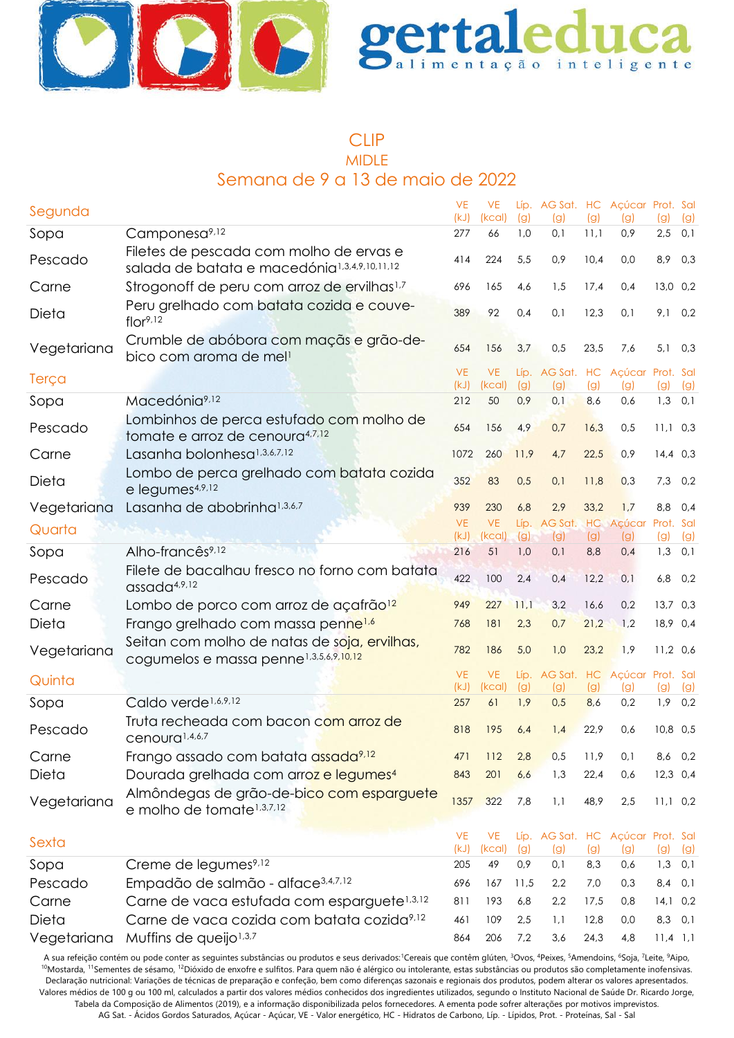



#### CLIP MIDLE Semana de 9 a 13 de maio de 2022

| Segunda     |                                                                                                     | <b>VE</b><br>(kJ) | <b>VE</b><br>(kcal) | (g)        | Líp. AG Sat. HC Açúcar Prot. Sal<br>(g) | (g)        | (g)                     | (g)              | (g)        |
|-------------|-----------------------------------------------------------------------------------------------------|-------------------|---------------------|------------|-----------------------------------------|------------|-------------------------|------------------|------------|
| Sopa        | Camponesa <sup>9,12</sup>                                                                           | 277               | 66                  | 1,0        | 0,1                                     | 11,1       | 0,9                     | 2,5              | 0,1        |
| Pescado     | Filetes de pescada com molho de ervas e<br>salada de batata e macedónia <sup>1,3,4,9,10,11,12</sup> | 414               | 224                 | 5,5        | 0,9                                     | 10,4       | 0,0                     | 8,9              | 0,3        |
| Carne       | Strogonoff de peru com arroz de ervilhas <sup>1,7</sup>                                             | 696               | 165                 | 4,6        | 1,5                                     | 17,4       | 0,4                     | 13,0 0,2         |            |
| Dieta       | Peru grelhado com batata cozida e couve-<br>flor <sup>9,12</sup>                                    | 389               | 92                  | 0,4        | 0,1                                     | 12,3       | 0,1                     | 9,1              | 0,2        |
| Vegetariana | Crumble de abóbora com maçãs e grão-de-<br>bico com aroma de mell                                   | 654               | 156                 | 3,7        | 0,5                                     | 23,5       | 7,6                     | 5,1              | 0,3        |
| Terça       |                                                                                                     | <b>VE</b><br>(kJ) | <b>VE</b><br>(kcal) | (g)        | Líp. AG Sat. HC<br>(g)                  | (g)        | Açúcar Prot. Sal<br>(g) | (g)              | (g)        |
| Sopa        | Macedónia <sup>9,12</sup>                                                                           | 212               | 50                  | 0,9        | 0,1                                     | 8,6        | 0,6                     | $1,3$ 0,1        |            |
| Pescado     | Lombinhos de perca estufado com molho de<br>tomate e arroz de cenoura <sup>4,7,12</sup>             | 654               | 156                 | 4,9        | 0,7                                     | 16,3       | 0,5                     | $11,1$ 0,3       |            |
| Carne       | Lasanha bolonhesa <sup>1,3,6,7,12</sup>                                                             | 1072              | 260                 | 11,9       | 4,7                                     | 22,5       | 0,9                     | $14,4$ 0,3       |            |
| Dieta       | Lombo de perca grelhado com batata cozida<br>e legumes <sup>4,9,12</sup>                            | 352               | 83                  | 0,5        | 0,1                                     | 11,8       | 0,3                     | 7,3              | 0,2        |
| Vegetariana | Lasanha de abobrinha <sup>1,3,6,7</sup>                                                             | 939               | 230                 | 6,8        | 2,9                                     | 33,2       | 1,7                     | 8,8              | 0,4        |
| Quarta      |                                                                                                     | <b>VE</b><br>(kJ) | <b>VE</b>           |            | Líp. AG Sat. HC Açúcar                  |            |                         | Prot. Sal        |            |
| Sopa        | Alho-francês <sup>9,12</sup>                                                                        | 216               | (kcal)<br>51        | (g)<br>1,0 | (g)<br>0,1                              | (g)<br>8,8 | (g)<br>0,4              | (g)<br>$1,3$ 0,1 | (g)        |
| Pescado     | Filete de bacalhau fresco no forno com batata<br>assada <sup>4,9,12</sup>                           | 422               | 100                 | 2,4        | 0,4                                     | 12,2       | 0,1                     | 6,8              | 0,2        |
| Carne       | Lombo de porco com arroz de açafrão <sup>12</sup>                                                   | 949               | 227                 | 11,1       | 3,2                                     | 16,6       | 0,2                     | 13,7 0,3         |            |
| Dieta       | Frango grelhado com massa penne <sup>1,6</sup>                                                      | 768               | 181                 | 2,3        | 0,7                                     | 21,2       | 1,2                     | 18,9 0,4         |            |
| Vegetariana | Seitan com molho de natas de soja, ervilhas,<br>cogumelos e massa penne <sup>1,3,5,6,9,10,12</sup>  | 782               | 186                 | 5,0        | 1,0                                     | 23,2       | 1,9                     | $11,2$ 0.6       |            |
| Quinta      |                                                                                                     | <b>VE</b><br>(kJ) | <b>VE</b><br>(kcal) | (g)        | Líp. AG Sat. HC Açúcar Prot. Sal<br>(g) | (g)        | (g)                     | (g)              | (g)        |
| Sopa        | Caldo verde <sup>1,6,9,12</sup>                                                                     | 257               | 61                  | 1,9        | 0,5                                     | 8,6        | 0,2                     | 1,9              | 0,2        |
| Pescado     | Truta recheada com bacon com arroz de<br>cenoura <sup>1,4,6,7</sup>                                 | 818               | 195                 | 6,4        | 1,4                                     | 22,9       | 0,6                     | 10,8 0,5         |            |
| Carne       | Frango assado com batata assada <sup>9,12</sup>                                                     | 471               | 112                 | 2,8        | 0,5                                     | 11,9       | 0,1                     | 8,6              | 0,2        |
| Dieta       | Dourada grelhada com arroz e legumes <sup>4</sup>                                                   | 843               | 201                 | 6,6        | 1,3                                     | 22,4       | 0,6                     | $12,3$ 0,4       |            |
| Vegetariana | Almôndegas de grão-de-bico com esparquete<br>e molho de tomate <sup>1,3,7,12</sup>                  | 1357              | 322                 | 7,8        | 1,1                                     | 48,9       | 2,5                     | $11,1$ 0,2       |            |
| Sexta       |                                                                                                     | <b>VE</b>         | <b>VE</b>           |            | Líp. AG Sat. HC Açúcar Prot. Sal        |            |                         |                  |            |
| Sopa        | Creme de legumes <sup>9,12</sup>                                                                    | (kJ)<br>205       | (kcal)<br>49        | (g)<br>0,9 | (g)<br>0,1                              | (g)<br>8,3 | (g)<br>0,6              | (g)<br>1,3       | (g)<br>0,1 |
| Pescado     | Empadão de salmão - alface <sup>3,4,7,12</sup>                                                      | 696               | 167                 | 11,5       | 2,2                                     | 7,0        | 0,3                     | 8,4              | 0,1        |
| Carne       | Carne de vaca estufada com esparguete <sup>1,3,12</sup>                                             | 811               | 193                 | 6,8        | 2,2                                     | 17,5       | 0,8                     | $14,1$ 0,2       |            |
| Dieta       | Carne de vaca cozida com batata cozida <sup>9,12</sup>                                              | 461               | 109                 | 2,5        | 1,1                                     | 12,8       | 0,0                     | 8,3 0,1          |            |
| Vegetariana | Muffins de queijo <sup>1,3,7</sup>                                                                  | 864               | 206                 | 7,2        | 3,6                                     | 24,3       | 4,8                     | $11,4$ 1,1       |            |

A sua refeição contém ou pode conter as seguintes substâncias ou produtos e seus derivados:<sup>1</sup>Cereais que contêm glúten, <sup>3</sup>Ovos, <sup>4</sup>Peixes, <sup>5</sup>Amendoins, <sup>6</sup>Soja, <sup>7</sup>Leite, <sup>9</sup>Aipo, <sup>10</sup>Mostarda, <sup>11</sup>Sementes de sésamo, <sup>12</sup>Dióxido de enxofre e sulfitos. Para quem não é alérgico ou intolerante, estas substâncias ou produtos são completamente inofensivas. Declaração nutricional: Variações de técnicas de preparação e confeção, bem como diferenças sazonais e regionais dos produtos, podem alterar os valores apresentados. Valores médios de 100 g ou 100 ml, calculados a partir dos valores médios conhecidos dos ingredientes utilizados, segundo o Instituto Nacional de Saúde Dr. Ricardo Jorge, Tabela da Composição de Alimentos (2019), e a informação disponibilizada pelos fornecedores. A ementa pode sofrer alterações por motivos imprevistos.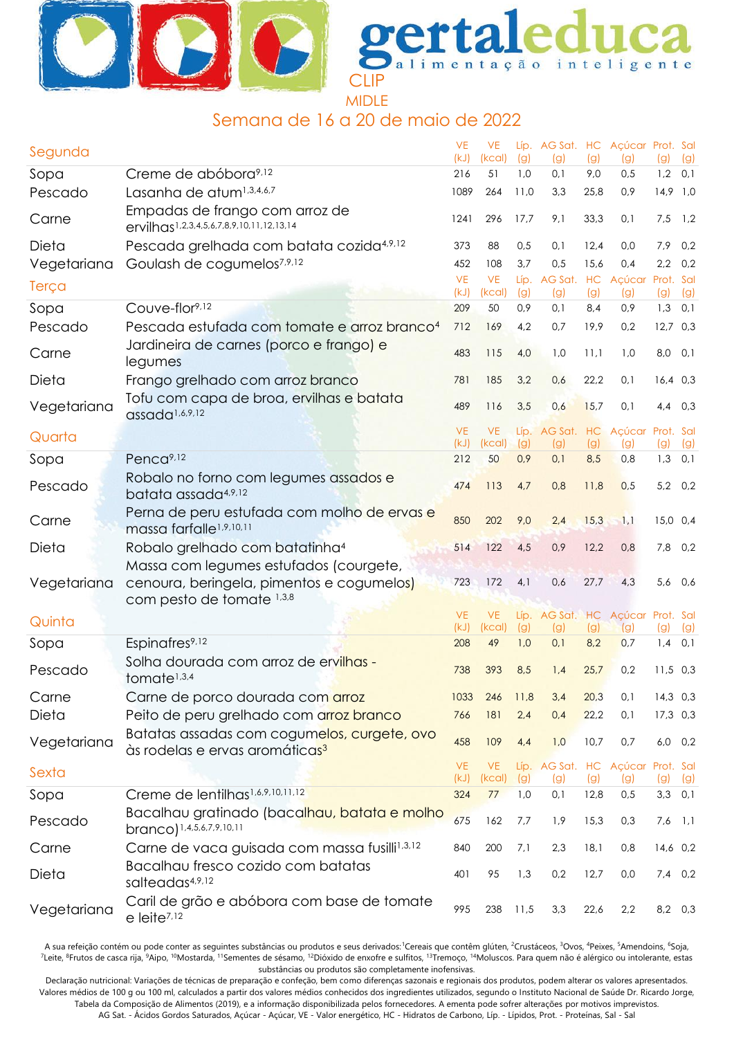



## Semana de 16 a 20 de maio de 2022

| Segunda     |                                                                                           | <b>VE</b><br>(kJ) | <b>VE</b><br>(kcal) | (g)        | (g)                    | (g)         | Líp. AG Sat. HC Açúcar Prot. Sal<br>(g) | (g)              | (g)        |
|-------------|-------------------------------------------------------------------------------------------|-------------------|---------------------|------------|------------------------|-------------|-----------------------------------------|------------------|------------|
| Sopa        | Creme de abóbora <sup>9,12</sup>                                                          | 216               | 51                  | 1,0        | 0,1                    | 9,0         | 0,5                                     | 1,2              | 0,1        |
| Pescado     | Lasanha de atum <sup>1,3,4,6,7</sup>                                                      | 1089              | 264                 | 11,0       | 3,3                    | 25,8        | 0,9                                     | $14,9$ 1,0       |            |
| Carne       | Empadas de frango com arroz de<br>ervilhas <sup>1,2,3,4,5,6,7,8,9,10,11,12,13,14</sup>    | 1241              | 296                 | 17,7       | 9,1                    | 33,3        | 0,1                                     | 7,5              | 1,2        |
| Dieta       | Pescada grelhada com batata cozida <sup>4,9,12</sup>                                      | 373               | 88                  | 0,5        | 0,1                    | 12,4        | 0,0                                     | 7,9              | 0,2        |
| Vegetariana | Goulash de cogumelos <sup>7,9,12</sup>                                                    | 452               | 108                 | 3,7        | 0,5                    | 15,6        | 0.4                                     | 2,2              | 0,2        |
| Terça       |                                                                                           | <b>VE</b><br>(kJ) | <b>VE</b><br>(kcal) | (g)        | Líp. AG Sat. HC<br>(g) | (g)         | Açúcar<br>(g)                           | Prot. Sal<br>(g) | (g)        |
| Sopa        | Couve-flor9,12                                                                            | 209               | 50                  | 0,9        | 0,1                    | 8,4         | 0,9                                     | $1,3$ 0,1        |            |
| Pescado     | Pescada estufada com tomate e arroz branco <sup>4</sup>                                   | 712               | 169                 | 4,2        | 0,7                    | 19,9        | 0,2                                     | $12,7$ 0,3       |            |
| Carne       | Jardineira de carnes (porco e frango) e<br>legumes                                        | 483               | 115                 | 4,0        | 1,0                    | 11,1        | 1,0                                     | 8,0 0,1          |            |
| Dieta       | Frango grelhado com arroz branco                                                          | 781               | 185                 | 3,2        | 0,6                    | 22,2        | 0,1                                     | $16,4$ 0,3       |            |
|             | Tofu com capa de broa, ervilhas e batata                                                  |                   |                     |            |                        |             |                                         |                  |            |
| Vegetariana | assada <sup>1,6,9,12</sup>                                                                | 489               | 116                 | 3,5        | 0,6                    | 15,7        | 0,1                                     | 4,4              | 0,3        |
| Quarta      |                                                                                           | <b>VE</b>         | <b>VE</b>           |            | Líp. AG Sat. HC        |             | Açúcar Prot. Sal                        |                  |            |
| Sopa        | Penca <sup>9,12</sup>                                                                     | (kJ)<br>212       | (kcal)<br>50        | (g)<br>0,9 | (g)<br>0,1             | (g)<br>8,5  | (g)<br>0,8                              | (g)<br>1,3       | (g)<br>0,1 |
|             | Robalo no forno com legumes assados e                                                     |                   |                     |            |                        |             |                                         |                  |            |
| Pescado     | batata assada4,9,12                                                                       | 474               | 113                 | 4,7        | 0,8                    | 11,8        | 0,5                                     | $5,2$ 0,2        |            |
| Carne       | Perna de peru estufada com molho de ervas e<br>massa farfalle <sup>1,9,10,11</sup>        | 850               | 202                 | 9,0        | 2,4                    | 15,3        | 1,1                                     | $15,0$ 0,4       |            |
| Dieta       | Robalo grelhado com batatinha <sup>4</sup>                                                | 514               | 122                 | 4,5        | 0,9                    | 12,2        | 0,8                                     | 7,8              | 0,2        |
|             | Massa com legumes estufados (courgete,                                                    |                   |                     |            |                        |             |                                         |                  |            |
| Vegetariana | cenoura, beringela, pimentos e cogumelos)<br>com pesto de tomate 1,3,8                    | 723               | 172                 | 4,1        | 0,6                    | 27,7        | 4,3                                     | 5,6 0,6          |            |
| Quinta      |                                                                                           | <b>VE</b><br>(kJ) | <b>VE</b><br>(kcal) |            |                        |             | Líp. AG Sat. HC Açúcar Prot. Sal        |                  |            |
| Sopa        | Espinafres <sup>9,12</sup>                                                                | 208               | 49                  | (g)<br>1,0 | (g)<br>0,1             | (g)<br>8,2  | (g)<br>0,7                              | (g)<br>1,4       | (g)<br>0,1 |
| Pescado     | Solha dourada com arroz de ervilhas -<br>tomate <sup>1,3,4</sup>                          | 738               | 393                 | 8,5        | 1,4                    | 25,7        | 0,2                                     | $11,5$ 0,3       |            |
| Carne       | Carne de porco dourada com arroz                                                          | 1033              | 246                 | 11,8       | 3,4                    | 20,3        | 0,1                                     | $14,3$ 0,3       |            |
| Dieta       | Peito de peru grelhado com arroz branco                                                   | 766               | 181                 | 2,4        | 0,4                    | 22,2        | 0,1                                     | $17,3$ 0,3       |            |
| Vegetariana | Batatas assadas com cogumelos, curgete, ovo<br>às rodelas e ervas aromáticas <sup>3</sup> | 458               | 109                 | 4,4        | 1,0                    | 10,7        | 0,7                                     | $6,0$ $0,2$      |            |
| Sexta       |                                                                                           | <b>VE</b>         | <b>VE</b>           |            |                        |             | Líp. AG Sat. HC Açúcar Prot. Sal        |                  |            |
| Sopa        | Creme de lentilhas <sup>1,6,9,10,11,12</sup>                                              | (kJ)<br>324       | (kcal)<br>77        | (g)<br>1,0 | (g)<br>0,1             | (g)<br>12,8 | (g)<br>0,5                              | (g)<br>$3,3$ 0,1 | (g)        |
|             | Bacalhau gratinado (baca <mark>lhau, batata e molho</mark>                                |                   |                     |            |                        |             |                                         |                  |            |
| Pescado     | branco) 1,4,5,6,7,9,10,11                                                                 | 675               | 162                 | 7,7        | 1,9                    | 15,3        | 0,3                                     | $7,6$ 1,1        |            |
| Carne       | Carne de vaca guisada com massa fusilli <sup>1,3,12</sup>                                 | 840               | 200                 | 7,1        | 2,3                    | 18,1        | 0,8                                     | 14,6 0,2         |            |
| Dieta       | Bacalhau fresco cozido com batatas<br>salteadas4,9,12                                     | 401               | 95                  | 1,3        | 0,2                    | 12,7        | 0,0                                     | $7,4$ 0,2        |            |
| Vegetariana | Caril de grão e abóbora com base de tomate<br>e leite <sup>7,12</sup>                     | 995               | 238                 | 11,5       | 3,3                    | 22,6        | 2,2                                     | 8,2 0,3          |            |

A sua refeição contém ou pode conter as seguintes substâncias ou produtos e seus derivados: Cereais que contêm glúten, <sup>2</sup>Crustáceos, <sup>3</sup>Ovos, <sup>4</sup>Peixes, <sup>5</sup>Amendoins, <sup>6</sup>Soja, <sup>7</sup>Leite, <sup>8</sup>Frutos de casca rija, <sup>9</sup>Aipo, <sup>10</sup>Mostarda, <sup>11</sup>Sementes de sésamo, <sup>12</sup>Dióxido de enxofre e sulfitos, <sup>13</sup>Tremoço, <sup>14</sup>Moluscos. Para quem não é alérgico ou intolerante, estas substâncias ou produtos são completamente inofensivas.

Declaração nutricional: Variações de técnicas de preparação e confeção, bem como diferenças sazonais e regionais dos produtos, podem alterar os valores apresentados. Valores médios de 100 g ou 100 ml, calculados a partir dos valores médios conhecidos dos ingredientes utilizados, segundo o Instituto Nacional de Saúde Dr. Ricardo Jorge, Tabela da Composição de Alimentos (2019), e a informação disponibilizada pelos fornecedores. A ementa pode sofrer alterações por motivos imprevistos. AG Sat. - Ácidos Gordos Saturados, Açúcar - Açúcar, VE - Valor energético, HC - Hidratos de Carbono, Líp. - Lípidos, Prot. - Proteínas, Sal - Sal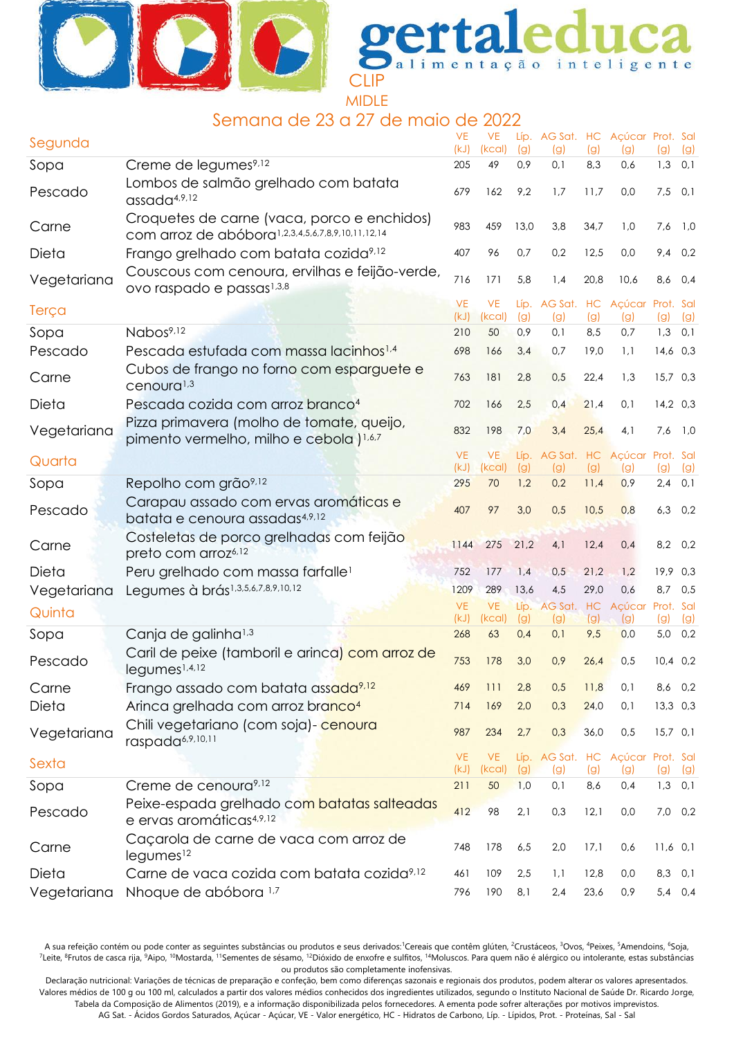



## Semana de 23 a 27 de maio de 2022

| Segunda     |                                                                                                  | <b>VE</b><br>(kJ) | <b>VE</b><br>(kcal) | (g)        | (g)                    | (g)         | Líp. AG Sat. HC Açúcar Prot. Sal<br>(g) | (g)                | (g)        |
|-------------|--------------------------------------------------------------------------------------------------|-------------------|---------------------|------------|------------------------|-------------|-----------------------------------------|--------------------|------------|
| Sopa        | Creme de legumes <sup>9,12</sup>                                                                 | 205               | 49                  | 0,9        | 0,1                    | 8,3         | 0,6                                     | $1,3$ 0,1          |            |
| Pescado     | Lombos de salmão grelhado com batata<br>assada <sup>4,9,12</sup>                                 | 679               | 162                 | 9,2        | 1,7                    | 11,7        | 0,0                                     | 7,5                | 0,1        |
| Carne       | Croquetes de carne (vaca, porco e enchidos)<br>com arroz de abóbora1,2,3,4,5,6,7,8,9,10,11,12,14 | 983               | 459                 | 13,0       | 3,8                    | 34,7        | 1,0                                     | 7,6                | 1,0        |
| Dieta       | Frango grelhado com batata cozida <sup>9,12</sup>                                                | 407               | 96                  | 0,7        | 0,2                    | 12,5        | 0,0                                     | 9,4                | 0,2        |
| Vegetariana | Couscous com cenoura, ervilhas e feijão-verde,<br>ovo raspado e passas <sup>1,3,8</sup>          | 716               | 171                 | 5,8        | 1,4                    | 20,8        | 10,6                                    | 8,6                | 0,4        |
| Terça       |                                                                                                  | <b>VE</b><br>(kJ) | <b>VE</b><br>(kcal) | (g)        | (g)                    | (g)         | Líp. AG Sat. HC Açúcar Prot. Sal<br>(g) | (g)                | (g)        |
| Sopa        | Nabos <sup>9,12</sup>                                                                            | 210               | 50                  | 0,9        | 0,1                    | 8,5         | 0,7                                     | 1,3                | 0,1        |
| Pescado     | Pescada estufada com massa lacinhos <sup>1,4</sup>                                               | 698               | 166                 | 3,4        | 0,7                    | 19,0        | 1,1                                     | $14,6$ 0,3         |            |
| Carne       | Cubos de frango no forno com esparguete e<br>cenoura <sup>1,3</sup>                              | 763               | 181                 | 2,8        | 0,5                    | 22,4        | 1,3                                     | $15,7$ 0,3         |            |
| Dieta       | Pescada cozida com arroz branco <sup>4</sup>                                                     | 702               | 166                 | 2,5        | 0,4                    | 21,4        | 0,1                                     | $14,2$ 0,3         |            |
| Vegetariana | Pizza primavera (molho de tomate, queijo,<br>pimento vermelho, milho e cebola ) <sup>1,6,7</sup> | 832               | 198                 | 7,0        | 3,4                    | 25,4        | 4,1                                     | $7,6$ 1,0          |            |
| Quarta      |                                                                                                  | <b>VE</b>         | <b>VE</b>           |            | Líp. AG Sat. HC Açúcar |             |                                         | Prot. Sal          |            |
| Sopa        | Repolho com grão <sup>9,12</sup>                                                                 | (kJ)<br>295       | (kcal)<br>70        | (g)<br>1,2 | (g)<br>0,2             | (g)<br>11,4 | (g)<br>0,9                              | (g)<br>2,4         | (g)<br>0,1 |
|             | Carapau assado com ervas aromáticas e                                                            |                   |                     |            |                        |             |                                         |                    |            |
| Pescado     | batata e cenoura assadas4,9,12                                                                   | 407               | 97                  | 3,0        | 0,5                    | 10,5        | 0,8                                     | $6,3$ $0,2$        |            |
| Carne       | Costeletas de porco grelhadas com feijão<br>preto com arroz <sup>6,12</sup>                      | 1144              | 275                 | 21,2       | 4,1                    | 12,4        | 0,4                                     | 8,2 0,2            |            |
| Dieta       | Peru grelhado com massa farfalle <sup>1</sup>                                                    | 752               | 177                 | 1,4        | 0,5                    | 21,2        | 1,2                                     | 19,9 0,3           |            |
| Vegetariana | Legumes à brás1,3,5,6,7,8,9,10,12                                                                | 1209              | 289                 | 13,6       | 4,5                    | 29,0        | 0,6                                     | 8,7                | 0,5        |
| Quinta      |                                                                                                  | <b>VE</b>         | <b>VE</b>           |            | Líp. AG Sat. HC Açúcar |             |                                         | Prot. Sal          |            |
| Sopa        | Canja de galinha <sup>1,3</sup>                                                                  | (kJ)<br>268       | (kcal)<br>63        | (g)<br>0,4 | (g)<br>0,1             | (g)<br>9,5  | (g)<br>0,0                              | (g)<br>$5,0$ $0,2$ | (g)        |
| Pescado     | Caril de peixe (tamboril e arinca) com arroz de<br>legumes <sup>1,4,12</sup>                     | 753               | 178                 | 3,0        | 0,9                    | 26,4        | 0,5                                     | $10,4$ 0,2         |            |
| Carne       | Frango assado com batata assada <sup>9,12</sup>                                                  | 469               | 111                 | 2,8        | 0,5                    | 11,8        | 0,1                                     | 8,6 0,2            |            |
| Dieta       | Arinca grelhada com arroz branco <sup>4</sup>                                                    | 714               | 169                 | 2,0        | 0,3                    | 24,0        | 0,1                                     | $13,3$ 0,3         |            |
| Vegetariana | Chili vegetariano (com soja) - cenoura<br>raspada <sup>6,9,10,11</sup>                           | 987               | 234                 | 2,7        | 0,3                    | 36,0        | 0,5                                     | $15,7$ 0,1         |            |
| Sexta       |                                                                                                  | <b>VE</b><br>(kJ) | <b>VE</b><br>(kcal) | (g)        | (g)                    | (g)         | Líp. AG Sat. HC Açúcar Prot. Sal<br>(g) | (g)                | (g)        |
| Sopa        | Creme de cenoura <sup>9,12</sup>                                                                 | 211               | 50                  | 1,0        | 0,1                    | 8,6         | 0,4                                     | $1,3$ 0,1          |            |
| Pescado     | Peixe-espada grelhado com batatas salteadas<br>e ervas aromáticas <sup>4,9,12</sup>              | 412               | 98                  | 2,1        | 0,3                    | 12,1        | 0,0                                     | 7,0 0,2            |            |
| Carne       | Caçarola de carne de vaca com arroz de<br>legumes <sup>12</sup>                                  | 748               | 178                 | 6,5        | 2,0                    | 17,1        | 0,6                                     | $11,6$ 0,1         |            |
| Dieta       | Carne de vaca cozida com batata cozida <sup>9,12</sup>                                           | 461               | 109                 | 2,5        | 1,1                    | 12,8        | 0,0                                     | 8,3 0,1            |            |
| Vegetariana | Nhoque de abóbora 1,7                                                                            | 796               | 190                 | 8,1        | 2,4                    | 23,6        | 0,9                                     | 5,4 0,4            |            |

A sua refeição contém ou pode conter as seguintes substâncias ou produtos e seus derivados:<sup>1</sup>Cereais que contêm glúten, <sup>2</sup>Crustáceos, <sup>3</sup>Ovos, <sup>4</sup>Peixes, <sup>5</sup>Amendoins, <sup>6</sup>Soja, <sup>7</sup>Leite, <sup>8</sup>Frutos de casca rija, <sup>9</sup>Aipo, <sup>10</sup>Mostarda, <sup>11</sup>Sementes de sésamo, <sup>12</sup>Dióxido de enxofre e sulfitos, <sup>14</sup>Moluscos. Para quem não é alérgico ou intolerante, estas substâncias ou produtos são completamente inofensivas.

Declaração nutricional: Variações de técnicas de preparação e confeção, bem como diferenças sazonais e regionais dos produtos, podem alterar os valores apresentados. Valores médios de 100 g ou 100 ml, calculados a partir dos valores médios conhecidos dos ingredientes utilizados, segundo o Instituto Nacional de Saúde Dr. Ricardo Jorge, Tabela da Composição de Alimentos (2019), e a informação disponibilizada pelos fornecedores. A ementa pode sofrer alterações por motivos imprevistos.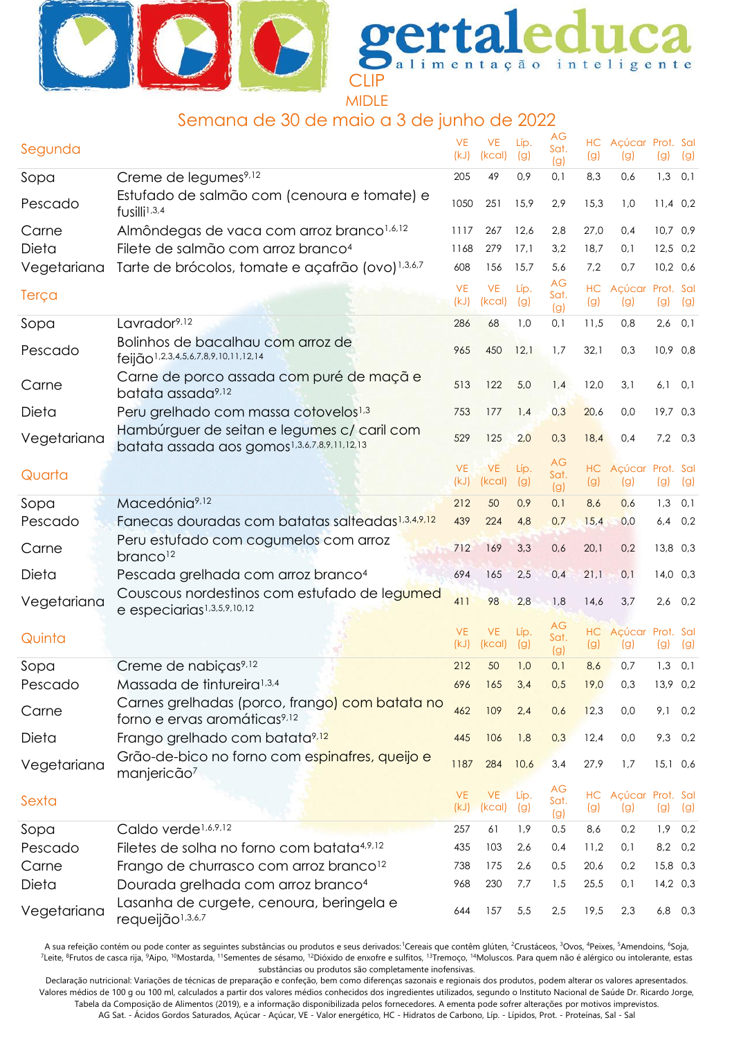



## Semana de 30 de maio a 3 de junho de 2022

| Segunda     |                                                                                            | <b>VE</b><br>(kJ) | <b>VE</b><br>(kcal) | Líp.<br>(g) | АG<br>Sat.<br>(g) | (g)       | HC Açúcar Prot. Sal<br>(g) | (g)        | (g) |
|-------------|--------------------------------------------------------------------------------------------|-------------------|---------------------|-------------|-------------------|-----------|----------------------------|------------|-----|
| Sopa        | Creme de legumes <sup>9,12</sup>                                                           | 205               | 49                  | 0,9         | 0,1               | 8,3       | 0,6                        | $1,3$ 0,1  |     |
| Pescado     | Estufado de salmão com (cenoura e tomate) e<br>fusilli <sup>1,3,4</sup>                    | 1050              | 251                 | 15,9        | 2,9               | 15,3      | 1,0                        | $11,4$ 0,2 |     |
| Carne       | Almôndegas de vaca com arroz branco <sup>1,6,12</sup>                                      | 1117              | 267                 | 12,6        | 2,8               | 27,0      | 0,4                        | $10,7$ 0,9 |     |
| Dieta       | Filete de salmão com arroz branco <sup>4</sup>                                             | 1168              | 279                 | 17.1        | 3,2               | 18,7      | 0,1                        | $12,5$ 0,2 |     |
| Vegetariana | Tarte de brócolos, tomate e açafrão (ovo) <sup>1,3,6,7</sup>                               | 608               | 156                 | 15,7        | 5,6               | 7,2       | 0,7                        | $10,2$ 0,6 |     |
| Terça       |                                                                                            | <b>VE</b><br>(kJ) | <b>VE</b><br>(kcal) | Líp.<br>(g) | AG<br>Sat.<br>(g) | (g)       | HC Açúcar Prot. Sal<br>(g) | (g)        | (g) |
| Sopa        | Lavrador <sup>9,12</sup>                                                                   | 286               | 68                  | 1,0         | 0,1               | 11,5      | 0,8                        | $2,6$ 0,1  |     |
| Pescado     | Bolinhos de bacalhau com arroz de<br>feijão <sup>1,2,3,4,5,6,7,8,9,10,11,12,14</sup>       | 965               | 450                 | 12,1        | 1,7               | 32,1      | 0,3                        | 10,9 0,8   |     |
| Carne       | Carne de porco assada com puré de maçã e<br>batata assada <sup>9,12</sup>                  | 513               | 122                 | 5,0         | 1,4               | 12,0      | 3,1                        | $6,1$ 0,1  |     |
| Dieta       | Peru grelhado com massa cotovelos <sup>1,3</sup>                                           | 753               | 177                 | 1,4         | 0,3               | 20,6      | 0,0                        | $19,7$ 0,3 |     |
| Vegetariana | Hambúrguer de seitan e legumes c/ caril com<br>batata assada aos gomos1,3,6,7,8,9,11,12,13 | 529               | 125                 | 2,0         | 0,3               | 18,4      | 0,4                        | $7,2$ 0,3  |     |
| Quarta      |                                                                                            | <b>VE</b><br>(kJ) | <b>VE</b><br>(kcal) | Líp.<br>(g) | АG<br>Sat.<br>(g) | HC<br>(g) | Acúcar Prot. Sal<br>(g)    | (g)        | (g) |
| Sopa        | Macedónia <sup>9,12</sup>                                                                  | 212               | 50                  | 0,9         | 0,1               | 8,6       | 0,6                        | 1,3        | 0,1 |
| Pescado     | Fanecas douradas com batatas salteadas <sup>1,3,4,9,12</sup>                               | 439               | 224                 | 4,8         | 0,7               | 15,4      | 0,0                        | $6,4$ 0,2  |     |
| Carne       | Peru estufado com cogumelos com arroz<br>branco <sup>12</sup>                              | 712               | 169                 | 3,3         | 0,6               | 20,1      | 0,2                        | 13,8 0,3   |     |
| Dieta       | Pescada grelhada com arroz branco <sup>4</sup>                                             | 694               | 165                 | 2,5         | 0,4               | 21,1      | 0,1                        | $14,0$ 0,3 |     |
| Vegetariana | Couscous nordestinos com estufado de legumed<br>e especiarias <sup>1,3,5,9,10,12</sup>     | 411               | 98                  | 2,8         | 1,8               | 14,6      | 3,7                        | $2,6$ 0,2  |     |
| Quinta      |                                                                                            | <b>VE</b>         | <b>VE</b>           | Líp.        | АG<br>Sat.        | HC        | Açúcar Prot. Sal           |            |     |
|             |                                                                                            | (kJ)              | (kcal)              | (g)         | (g)               | (g)       | (g)                        | (g)        | (g) |
| Sopa        | Creme de nabiças <sup>9,12</sup>                                                           | 212               | 50                  | 1,0         | 0,1               | 8,6       | 0,7                        | 1,3        | 0,1 |
| Pescado     | Massada de tintureira <sup>1,3,4</sup>                                                     | 696               | 165                 | 3,4         | 0,5               | 19,0      | 0,3                        | 13,9 0,2   |     |
| Carne       | Carnes grelhadas (porco, frango) com batata no<br>forno e ervas aromáticas <sup>9,12</sup> | 462               | 109                 | 2,4         | 0,6               | 12,3      | 0,0                        | $9,1$ 0,2  |     |
| Dieta       | Frango grelhado com batata <sup>9,12</sup>                                                 | 445               | 106                 | 1,8         | 0,3               | 12,4      | 0,0                        | 9,3 0,2    |     |
| Vegetariana | Grão-de-bico no forno com espinafres, queijo e<br>manjericão <sup>7</sup>                  | 1187              | 284                 | 10,6        | 3,4               | 27,9      | 1,7                        | $15,1$ 0,6 |     |
| Sexta       |                                                                                            | <b>VE</b><br>(kJ) | <b>VE</b><br>(kcal) | Líp.<br>(g) | АG<br>Sat.<br>(g) | (g)       | HC Açúcar Prot. Sal<br>(g) | (g)        | (g) |
| Sopa        | Caldo verde <sup>1,6,9,12</sup>                                                            | 257               | 61                  | 1,9         | 0,5               | 8,6       | 0,2                        | 1,9        | 0,2 |
| Pescado     | Filetes de solha no forno com batata4,9,12                                                 | 435               | 103                 | 2,6         | 0,4               | 11,2      | 0,1                        | 8,2        | 0,2 |
| Carne       | Frango de churrasco com arroz branco <sup>12</sup>                                         | 738               | 175                 | 2,6         | 0,5               | 20,6      | 0,2                        | 15,8 0,3   |     |
| Dieta       | Dourada grelhada com arroz branco <sup>4</sup>                                             | 968               | 230                 | 7,7         | 1,5               | 25,5      | 0,1                        | $14,2$ 0,3 |     |
| Vegetariana | Lasanha de curgete, cenoura, beringela e<br>requeijão <sup>1,3,6,7</sup>                   | 644               | 157                 | 5,5         | 2,5               | 19,5      | 2,3                        | $6,8$ 0,3  |     |

A sua refeição contém ou pode conter as seguintes substâncias ou produtos e seus derivados: Cereais que contêm glúten, <sup>2</sup>Crustáceos, <sup>3</sup>Ovos, <sup>4</sup>Peixes, <sup>5</sup>Amendoins, <sup>6</sup>Soja, <sup>7</sup>Leite, <sup>8</sup>Frutos de casca rija, <sup>9</sup>Aipo, <sup>10</sup>Mostarda, <sup>11</sup>Sementes de sésamo, <sup>12</sup>Dióxido de enxofre e sulfitos, <sup>13</sup>Tremoço, <sup>14</sup>Moluscos. Para quem não é alérgico ou intolerante, estas substâncias ou produtos são completamente inofensivas.

Declaração nutricional: Variações de técnicas de preparação e confeção, bem como diferenças sazonais e regionais dos produtos, podem alterar os valores apresentados. Valores médios de 100 g ou 100 ml, calculados a partir dos valores médios conhecidos dos ingredientes utilizados, segundo o Instituto Nacional de Saúde Dr. Ricardo Jorge, Tabela da Composição de Alimentos (2019), e a informação disponibilizada pelos fornecedores. A ementa pode sofrer alterações por motivos imprevistos. AG Sat. - Ácidos Gordos Saturados, Açúcar - Açúcar, VE - Valor energético, HC - Hidratos de Carbono, Líp. - Lípidos, Prot. - Proteínas, Sal - Sal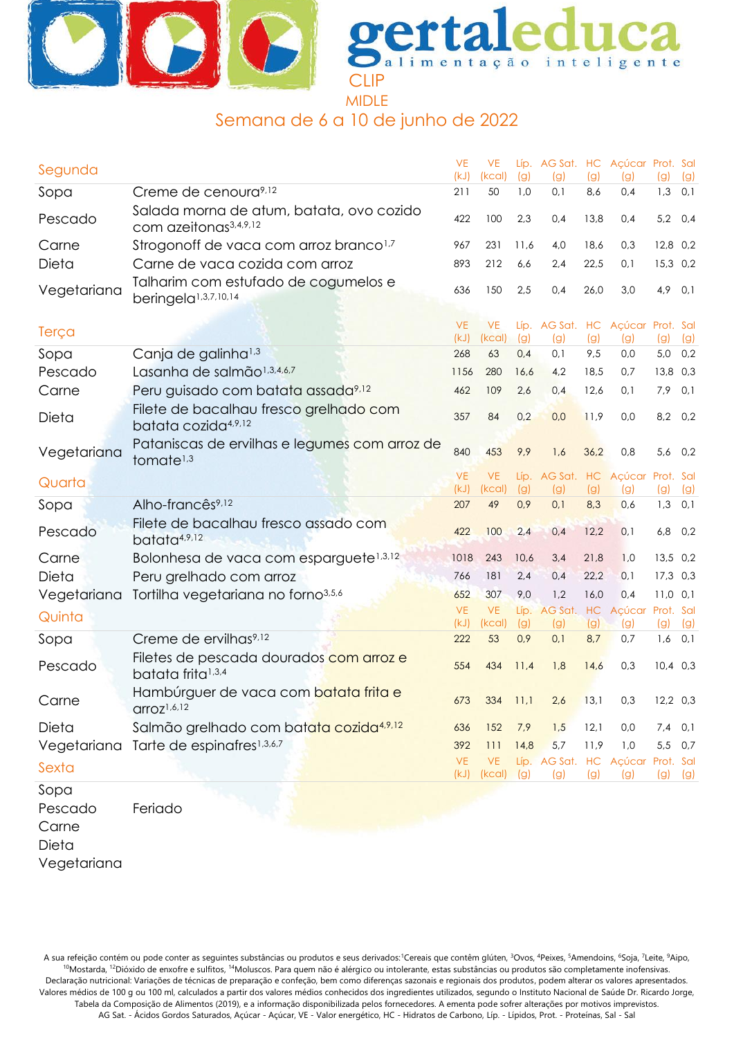



# Semana de 6 a 10 de junho de 2022

| Segunda                   |                                                                               | <b>VE</b><br>(kJ) | <b>VE</b><br>(kcal) | (g)         | Líp. AG Sat. HC Açúcar Prot. Sal<br>(g) | (g)        | (g)           | (g)              | (g) |
|---------------------------|-------------------------------------------------------------------------------|-------------------|---------------------|-------------|-----------------------------------------|------------|---------------|------------------|-----|
| Sopa                      | Creme de cenoura <sup>9,12</sup>                                              | 211               | 50                  | 1,0         | 0,1                                     | 8,6        | 0,4           | 1,3              | 0,1 |
| Pescado                   | Salada morna de atum, batata, ovo cozido<br>com azeitonas <sup>3,4,9,12</sup> | 422               | 100                 | 2,3         | 0,4                                     | 13,8       | 0,4           | 5,2              | 0,4 |
| Carne                     | Strogonoff de vaca com arroz branco <sup>1,7</sup>                            | 967               | 231                 | 11,6        | 4,0                                     | 18,6       | 0,3           | 12,8 0,2         |     |
| Dieta                     | Carne de vaca cozida com arroz                                                | 893               | 212                 | 6,6         | 2,4                                     | 22,5       | 0,1           | 15,3 0,2         |     |
| Vegetariana               | Talharim com estufado de cogumelos e<br>beringela <sup>1,3,7,10,14</sup>      | 636               | 150                 | 2,5         | 0,4                                     | 26,0       | 3,0           | 4,9              | 0,1 |
| Terça                     |                                                                               | <b>VE</b><br>(kJ) | <b>VE</b><br>(kcal) | (g)         | Líp. AG Sat. HC Açúcar Prot. Sal<br>(g) | (g)        | (g)           | (g)              | (g) |
| Sopa                      | Canja de galinha <sup>1,3</sup>                                               | 268               | 63                  | 0,4         | 0,1                                     | 9,5        | 0,0           | 5,0 0,2          |     |
| Pescado                   | Lasanha de salmão <sup>1,3,4,6,7</sup>                                        | 1156              | 280                 | 16,6        | 4,2                                     | 18,5       | 0,7           | 13,8 0,3         |     |
| Carne                     | Peru guisado com batata assada <sup>9,12</sup>                                | 462               | 109                 | 2,6         | 0,4                                     | 12,6       | 0,1           | 7,9              | 0,1 |
| Dieta                     | Filete de bacalhau fresco grelhado com<br>batata cozida4,9,12                 | 357               | 84                  | 0,2         | 0,0                                     | 11,9       | 0,0           | 8,2 0,2          |     |
| Vegetariana               | Pataniscas de ervilhas e legumes com arroz de<br>tomate <sup>1,3</sup>        | 840               | 453                 | 9,9         | 1,6                                     | 36,2       | 0,8           | 5,6 0,2          |     |
| Quarta                    |                                                                               | <b>VE</b>         | <b>VE</b>           | Líp.        | AG Sat.                                 |            | HC Açúcar     | Prot. Sal        |     |
|                           | Alho-francês <sup>9,12</sup>                                                  | (kJ)<br>207       | (kcal)<br>49        | (g)<br>0,9  | (g)<br>0,1                              | (g)<br>8,3 | (g)<br>0,6    | (g)<br>$1,3$ 0,1 | (g) |
| Sopa                      | Filete de bacalhau fresco assado com                                          |                   |                     |             |                                         |            |               |                  |     |
| Pescado                   | batata4,9,12                                                                  | 422               | 100                 | 2,4         | 0,4                                     | 12,2       | 0,1           | 6,8 0,2          |     |
| Carne                     | Bolonhesa de vaca com esparguete <sup>1,3,12</sup>                            | 1018              | 243                 | 10,6        | 3,4                                     | 21,8       | 1,0           | 13,5 0,2         |     |
| Dieta                     | Peru grelhado com arroz                                                       | 766               | 181                 | 2,4         | 0,4                                     | 22,2       | 0,1           | $17,3$ 0,3       |     |
| Vegetariana               | Tortilha vegetariana no forno <sup>3,5,6</sup>                                | 652               | 307                 | 9,0         | 1,2                                     | 16,0       | 0,4           | $11,0$ 0,1       |     |
| Quinta                    |                                                                               | <b>VE</b><br>(kJ) | <b>VE</b><br>(kcal) | Líp.<br>(g) | AG Sat. HC<br>(g)                       | (g)        | Açúcar<br>(g) | Prot. Sal<br>(g) | (g) |
| Sopa                      | Creme de ervilhas <sup>9,12</sup>                                             | 222               | 53                  | 0,9         | 0,1                                     | 8,7        | 0,7           | $1,6$ 0,1        |     |
| Pescado                   | Filetes de pescada dourados com arroz e<br>batata frita <sup>1,3,4</sup>      | 554               | 434                 | 11,4        | 1,8                                     | 14,6       | 0,3           | $10,4$ 0,3       |     |
| Carne                     | Hambúrguer de vaca com batata frita e<br>$\text{C}$ roz <sup>1,6,12</sup>     | 673               | 334                 | 11,1        | 2,6                                     | 13,1       | 0,3           | $12,2$ 0,3       |     |
| Dieta                     | Salmão grelhado com batata cozida4,9,12                                       | 636               | 152                 | 7,9         | 1,5                                     | 12,1       | 0,0           | 7,4              | 0,1 |
| Vegetariana               | Tarte de espinafres <sup>1,3,6,7</sup>                                        | 392               | 111                 | 14,8        | 5,7                                     | 11,9       | 1,0           | 5,5 0,7          |     |
| Sexta                     |                                                                               | <b>VE</b><br>(kJ) | <b>VE</b><br>(kcal) | (g)         | Líp. AG Sat. HC Açúcar<br>(g)           | (g)        | (g)           | Prot. Sal<br>(g) | (g) |
| Sopa                      |                                                                               |                   |                     |             |                                         |            |               |                  |     |
| Pescado<br>Carne<br>Dieta | Feriado                                                                       |                   |                     |             |                                         |            |               |                  |     |

Vegetariana

A sua refeição contém ou pode conter as seguintes substâncias ou produtos e seus derivados:<sup>1</sup>Cereais que contêm glúten, <sup>3</sup>Ovos, <sup>4</sup>Peixes, <sup>5</sup>Amendoins, <sup>6</sup>Soja, <sup>7</sup>Leite, <sup>9</sup>Aipo, <sup>10</sup>Mostarda, <sup>12</sup>Dióxido de enxofre e sulfitos, <sup>14</sup>Moluscos. Para quem não é alérgico ou intolerante, estas substâncias ou produtos são completamente inofensivas. Declaração nutricional: Variações de técnicas de preparação e confeção, bem como diferenças sazonais e regionais dos produtos, podem alterar os valores apresentados. Valores médios de 100 g ou 100 ml, calculados a partir dos valores médios conhecidos dos ingredientes utilizados, segundo o Instituto Nacional de Saúde Dr. Ricardo Jorge, Tabela da Composição de Alimentos (2019), e a informação disponibilizada pelos fornecedores. A ementa pode sofrer alterações por motivos imprevistos. AG Sat. - Ácidos Gordos Saturados, Açúcar - Açúcar, VE - Valor energético, HC - Hidratos de Carbono, Líp. - Lípidos, Prot. - Proteínas, Sal - Sal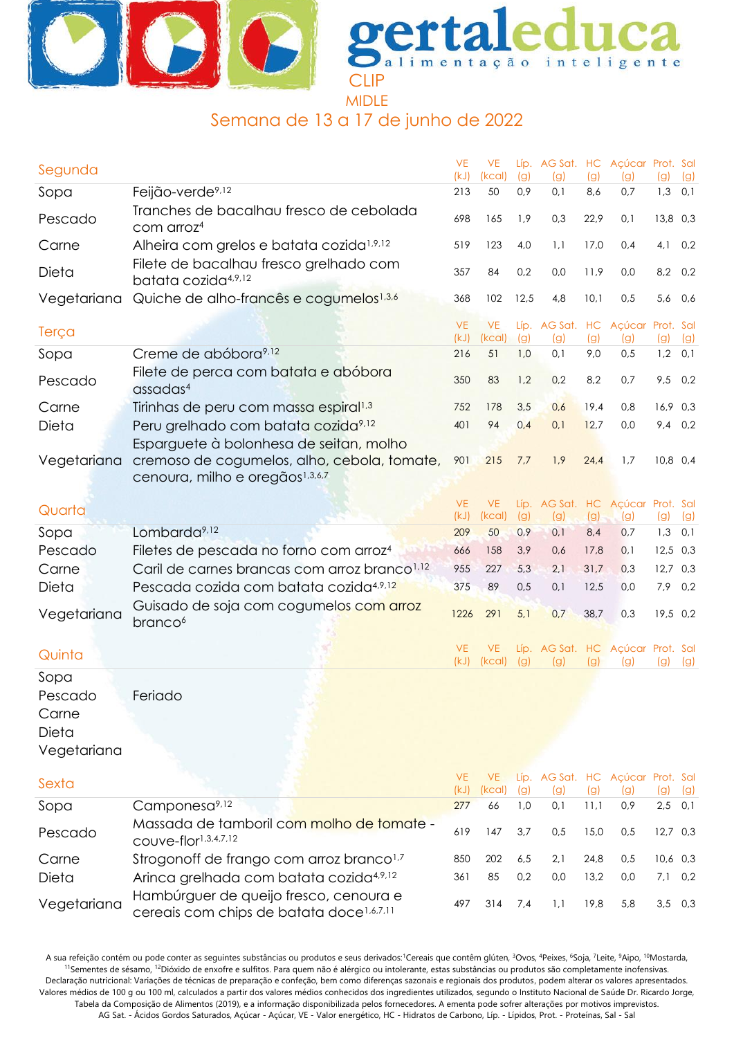



# Semana de 13 a 17 de junho de 2022

| Segunda     |                                                                                                | <b>VE</b><br>(kJ) | <b>VE</b><br>(kcal) | (g)  | Líp. AG Sat. HC Açúcar Prot. Sal<br>(g) | (g)  | (g) | (g)        | (g) |
|-------------|------------------------------------------------------------------------------------------------|-------------------|---------------------|------|-----------------------------------------|------|-----|------------|-----|
| Sopa        | Feijão-verde <sup>9,12</sup>                                                                   | 213               | 50                  | 0,9  | 0,1                                     | 8,6  | 0,7 | 1,3        | 0,1 |
| Pescado     | Tranches de bacalhau fresco de cebolada<br>com arroz <sup>4</sup>                              | 698               | 165                 | 1,9  | 0,3                                     | 22,9 | 0,1 | 13,8 0,3   |     |
| Carne       | Alheira com grelos e batata cozida <sup>1,9,12</sup>                                           | 519               | 123                 | 4,0  | 1,1                                     | 17,0 | 0,4 | 4,1        | 0,2 |
| Dieta       | Filete de bacalhau fresco grelhado com<br>batata cozida <sup>4,9,12</sup>                      | 357               | 84                  | 0,2  | 0,0                                     | 11,9 | 0,0 | 8,2        | 0,2 |
| Vegetariana | Quiche de alho-francês e cogumelos <sup>1,3,6</sup>                                            | 368               | 102                 | 12,5 | 4,8                                     | 10,1 | 0,5 | 5,6        | 0,6 |
| Terça       |                                                                                                | <b>VE</b><br>(kJ) | <b>VE</b><br>(kcal) | (g)  | Líp. AG Sat. HC Açúcar Prot. Sal<br>(g) | (g)  | (g) | (g)        | (g) |
| Sopa        | Creme de abóbora <sup>9,12</sup>                                                               | 216               | 51                  | 1,0  | 0,1                                     | 9,0  | 0,5 | 1,2        | 0,1 |
| Pescado     | Filete de perca com batata e abóbora<br>assadas <sup>4</sup>                                   | 350               | 83                  | 1,2  | 0,2                                     | 8,2  | 0,7 | 9,5        | 0,2 |
| Carne       | Tirinhas de peru com massa espiral <sup>1,3</sup>                                              | 752               | 178                 | 3,5  | 0,6                                     | 19,4 | 0,8 | 16,9 0,3   |     |
| Dieta       | Peru grelhado com batata cozida <sup>9,12</sup>                                                | 401               | 94                  | 0,4  | 0,1                                     | 12,7 | 0,0 | 9,4        | 0,2 |
|             | Esparguete à bolonhesa de seitan, molho                                                        |                   |                     |      |                                         |      |     |            |     |
| Vegetariana | cremoso de cogumelos, alho, cebola, tomate,<br>cenoura, milho e oregãos <sup>1,3,6,7</sup>     | 901               | 215                 | 7,7  | 1,9                                     | 24,4 | 1,7 | 10,8 0,4   |     |
| Quarta      |                                                                                                | <b>VE</b>         | VE.                 |      | Líp. AG Sat. HC Açúcar Prot. Sal        |      |     |            |     |
|             |                                                                                                | (kJ)              | (kcal)              | (g)  | (g)                                     | (g)  | (g) | (g)        | (g) |
| Sopa        | Lombarda <sup>9,12</sup>                                                                       | 209               | 50                  | 0,9  | 0,1                                     | 8,4  | 0,7 | 1,3        | 0,1 |
| Pescado     | Filetes de pescada no forno com arroz <sup>4</sup>                                             | 666               | 158                 | 3,9  | 0,6                                     | 17,8 | 0,1 | 12,5       | 0,3 |
| Carne       | Caril de carnes brancas com arroz branco <sup>1,12</sup>                                       | 955               | 227                 | 5,3  | 2,1                                     | 31,7 | 0,3 | $12,7$ 0,3 |     |
| Dieta       | Pescada cozida com batata cozida <sup>4,9,12</sup>                                             | 375               | 89                  | 0,5  | 0,1                                     | 12,5 | 0,0 | 7,9        | 0,2 |
| Vegetariana | Guisado de soja com cogumelos com arroz<br>branco <sup>6</sup>                                 | 1226              | 291                 | 5,1  | 0,7                                     | 38,7 | 0,3 | 19,5 0,2   |     |
| Quinta      |                                                                                                | <b>VE</b><br>(kJ) | VE.<br>(kcal)       | (g)  | Líp. AG Sat. HC Açúcar Prot. Sal<br>(g) | (g)  | (g) | (g)        | (g) |
| Sopa        |                                                                                                |                   |                     |      |                                         |      |     |            |     |
| Pescado     | Feriado                                                                                        |                   |                     |      |                                         |      |     |            |     |
| Carne       |                                                                                                |                   |                     |      |                                         |      |     |            |     |
| Dieta       |                                                                                                |                   |                     |      |                                         |      |     |            |     |
| Vegetariana |                                                                                                |                   |                     |      |                                         |      |     |            |     |
| Sexta       |                                                                                                | VE.<br>(kJ)       | VE.<br>(kcal)       | (g)  | Líp. AG Sat. HC Açúcar Prot. Sal<br>(g) | (g)  | (g) | (g)        | (g) |
| Sopa        | Camponesa <sup>9,12</sup>                                                                      | 277               | 66                  | 1,0  | 0,1                                     | 11,1 | 0,9 | $2,5$ 0,1  |     |
| Pescado     | Massada de tamboril com molho de tomate -<br>couve-flor <sup>1,3,4,7,12</sup>                  | 619               | 147                 | 3,7  | 0,5                                     | 15,0 | 0,5 | $12,7$ 0,3 |     |
| Carne       | Strogonoff de frango com arroz branco <sup>1,7</sup>                                           | 850               | 202                 | 6,5  | 2,1                                     | 24,8 | 0,5 | $10,6$ 0,3 |     |
| Dieta       | Arinca grelhada com batata cozida <sup>4,9,12</sup>                                            | 361               | 85                  | 0,2  | 0,0                                     | 13,2 | 0,0 | $7,1$ 0,2  |     |
| Vegetariana | Hambúrguer de queijo fresco, cenoura e<br>cereais com chips de batata doce <sup>1,6,7,11</sup> | 497               | 314                 | 7,4  | 1,1                                     | 19,8 | 5,8 | 3,5        | 0,3 |

A sua refeição contém ou pode conter as seguintes substâncias ou produtos e seus derivados: Cereais que contêm glúten, <sup>3</sup>Ovos, <sup>4</sup>Peixes, <sup>6</sup>Soja, <sup>7</sup>Leite, <sup>9</sup>Aipo, <sup>10</sup>Mostarda, <sup>11</sup>Sementes de sésamo, <sup>12</sup>Dióxido de enxofre e sulfitos. Para quem não é alérgico ou intolerante, estas substâncias ou produtos são completamente inofensivas. Declaração nutricional: Variações de técnicas de preparação e confeção, bem como diferenças sazonais e regionais dos produtos, podem alterar os valores apresentados. Valores médios de 100 g ou 100 ml, calculados a partir dos valores médios conhecidos dos ingredientes utilizados, segundo o Instituto Nacional de Saúde Dr. Ricardo Jorge, Tabela da Composição de Alimentos (2019), e a informação disponibilizada pelos fornecedores. A ementa pode sofrer alterações por motivos imprevistos. AG Sat. - Ácidos Gordos Saturados, Açúcar - Açúcar, VE - Valor energético, HC - Hidratos de Carbono, Líp. - Lípidos, Prot. - Proteínas, Sal - Sal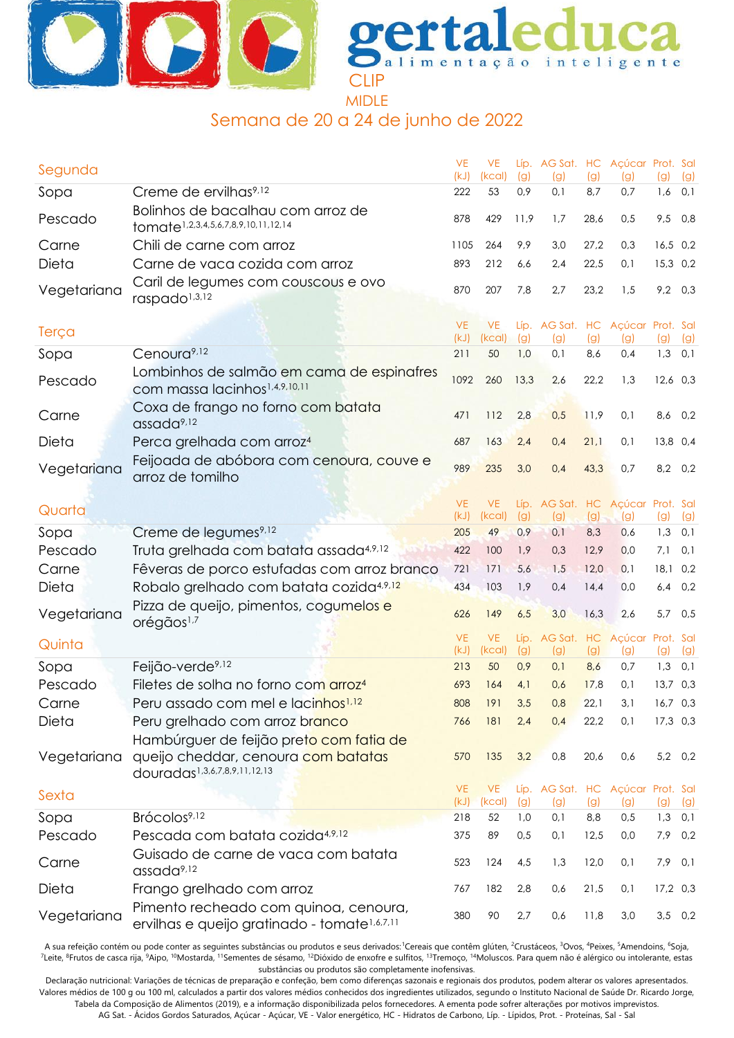



# Semana de 20 a 24 de junho de 2022

| Segunda     |                                                                                                                | <b>VE</b><br>(kJ) | <b>VE</b><br>(kcal) | (g)         | Líp. AG Sat. HC Açúcar Prot. Sal<br>(g) | (g)        | (g)                                | (g)              | (g) |
|-------------|----------------------------------------------------------------------------------------------------------------|-------------------|---------------------|-------------|-----------------------------------------|------------|------------------------------------|------------------|-----|
| Sopa        | Creme de ervilhas <sup>9,12</sup>                                                                              | 222               | 53                  | 0,9         | 0,1                                     | 8,7        | 0,7                                | 1,6              | 0,1 |
| Pescado     | Bolinhos de bacalhau com arroz de<br>tomate <sup>1,2,3,4,5,6,7,8,9,10,11,12,14</sup>                           | 878               | 429                 | 11,9        | 1,7                                     | 28,6       | 0,5                                | 9,5              | 0,8 |
| Carne       | Chili de carne com arroz                                                                                       | 1105              | 264                 | 9,9         | 3,0                                     | 27,2       | 0,3                                | $16,5$ 0,2       |     |
| Dieta       | Carne de vaca cozida com arroz                                                                                 | 893               | 212                 | 6,6         | 2,4                                     | 22,5       | 0,1                                | 15,3 0,2         |     |
| Vegetariana | Caril de legumes com couscous e ovo<br>raspado <sup>1,3,12</sup>                                               | 870               | 207                 | 7,8         | 2,7                                     | 23,2       | 1,5                                | $9,2$ 0,3        |     |
| Terça       |                                                                                                                | <b>VE</b><br>(kJ) | <b>VE</b><br>(kcal) | (g)         | Líp. AG Sat. HC Açúcar Prot. Sal<br>(g) | (g)        | (g)                                | (g)              | (g) |
| Sopa        | Cenoura <sup>9,12</sup>                                                                                        | 211               | 50                  | 1,0         | 0,1                                     | 8,6        | 0,4                                | $1,3$ 0,1        |     |
| Pescado     | Lombinhos de salmão em cama de espinafres<br>com massa lacinhos <sup>1,4,9,10,11</sup>                         | 1092              | 260                 | 13,3        | 2,6                                     | 22,2       | 1,3                                | $12,6$ 0,3       |     |
| Carne       | Coxa de frango no forno com batata<br>assada <sup>9,12</sup>                                                   | 471               | 112                 | 2,8         | 0,5                                     | 11,9       | 0,1                                | 8,6              | 0,2 |
| Dieta       | Perca grelhada com arroz <sup>4</sup>                                                                          | 687               | 163                 | 2,4         | 0,4                                     | 21,1       | 0,1                                | 13,8 0,4         |     |
| Vegetariana | Feijoada de abóbora com cenoura, couve e<br>arroz de tomilho                                                   | 989               | 235                 | 3,0         | 0,4                                     | 43,3       | 0,7                                | 8,2 0,2          |     |
| Quarta      |                                                                                                                | <b>VE</b><br>(kJ) | <b>VE</b><br>(kcal) | (g)         | Líp. AG Sat. HC<br>(g)                  | (g)        | Açúcar Prot. Sal<br>(g)            | (g)              | (g) |
| Sopa        | Creme de legumes <sup>9,12</sup>                                                                               | 205               | 49                  | 0,9         | 0,1                                     | 8,3        | 0,6                                | 1,3              | 0,1 |
| Pescado     | Truta grelhada com batata assada4,9,12                                                                         | 422               | 100                 | 1,9         | 0,3                                     | 12,9       | 0,0                                | 7,1              | 0,1 |
| Carne       | Fêveras de porco estufadas com arroz branco                                                                    | 721               | 171                 | 5,6         | 1,5                                     | 12,0       | 0,1                                | $18,1$ 0,2       |     |
| Dieta       | Robalo grelhado com batata cozida4,9,12                                                                        | 434               | 103                 | 1,9         | 0,4                                     | 14,4       | 0,0                                | 6,4              | 0,2 |
| Vegetariana | Pizza de queijo, pimentos, cogumelos e<br>orégãos <sup>1,7</sup>                                               | 626               | 149                 | 6,5         | 3,0                                     | 16,3       | 2,6                                | 5,7              | 0,5 |
| Quinta      |                                                                                                                | <b>VE</b><br>(kJ) | <b>VE</b><br>(kcal) | Líp.<br>(g) | (g)                                     | (g)        | AG Sat. HC Açúcar Prot. Sal<br>(g) | (g)              | (g) |
| Sopa        | Feijão-verde <sup>9,12</sup>                                                                                   | 213               | 50                  | 0,9         | 0,1                                     | 8,6        | 0,7                                | 1,3              | 0,1 |
| Pescado     | Filetes de solha no forno com arroz <sup>4</sup>                                                               | 693               | 164                 | 4,1         | 0,6                                     | 17,8       | 0,1                                | $13,7$ 0,3       |     |
| Carne       | Peru assado com mel e lacinhos <sup>1,12</sup>                                                                 | 808               | 191                 | 3,5         | 0,8                                     | 22,1       | 3,1                                | $16,7$ 0,3       |     |
| Dieta       | Peru grelhado com arroz branco                                                                                 | 766               | 181                 | 2,4         | 0,4                                     | 22,2       | 0,1                                | $17,3$ 0,3       |     |
| Vegetariana | Hambúrguer de feijão preto com fatia de<br>queijo cheddar, cenoura com batatas<br>douradas1,3,6,7,8,9,11,12,13 | 570               | 135                 | 3,2         | 0,8                                     | 20,6       | 0,6                                | 5,2 0,2          |     |
| Sexta       |                                                                                                                | <b>VE</b>         | <b>VE</b>           |             | Líp. AG Sat. HC Açúcar Prot. Sal        |            |                                    |                  |     |
| Sopa        | Brócolos <sup>9,12</sup>                                                                                       | (kJ)<br>218       | (kcal)<br>52        | (g)<br>1,0  | (g)<br>0,1                              | (g)<br>8,8 | (g)<br>0,5                         | (g)<br>$1,3$ 0,1 | (g) |
| Pescado     | Pescada com batata cozida <sup>4,9,12</sup>                                                                    | 375               | 89                  | 0,5         | 0,1                                     | 12,5       | 0,0                                | 7,9 0,2          |     |
| Carne       | Guisado de carne de vaca com batata<br>assada <sup>9,12</sup>                                                  | 523               | 124                 | 4,5         | 1,3                                     | 12,0       | 0,1                                | $7,9$ 0,1        |     |
| Dieta       | Frango grelhado com arroz                                                                                      | 767               | 182                 | 2,8         | 0,6                                     | 21,5       | 0,1                                | $17,2$ 0,3       |     |
| Vegetariana | Pimento recheado com quinoa, cenoura,<br>ervilhas e queijo gratinado - tomate <sup>1,6,7,11</sup>              | 380               | 90                  | 2,7         | 0,6                                     | 11,8       | 3,0                                | $3,5$ 0,2        |     |

A sua refeição contém ou pode conter as seguintes substâncias ou produtos e seus derivados: Cereais que contêm glúten, <sup>2</sup>Crustáceos, <sup>3</sup>Ovos, <sup>4</sup>Peixes, <sup>5</sup>Amendoins, <sup>6</sup>Soja, <sup>7</sup>Leite, <sup>8</sup>Frutos de casca rija, <sup>9</sup>Aipo, <sup>10</sup>Mostarda, <sup>11</sup>Sementes de sésamo, <sup>12</sup>Dióxido de enxofre e sulfitos, <sup>13</sup>Tremoço, <sup>14</sup>Moluscos. Para quem não é alérgico ou intolerante, estas substâncias ou produtos são completamente inofensivas.

Declaração nutricional: Variações de técnicas de preparação e confeção, bem como diferenças sazonais e regionais dos produtos, podem alterar os valores apresentados. Valores médios de 100 g ou 100 ml, calculados a partir dos valores médios conhecidos dos ingredientes utilizados, segundo o Instituto Nacional de Saúde Dr. Ricardo Jorge, Tabela da Composição de Alimentos (2019), e a informação disponibilizada pelos fornecedores. A ementa pode sofrer alterações por motivos imprevistos.